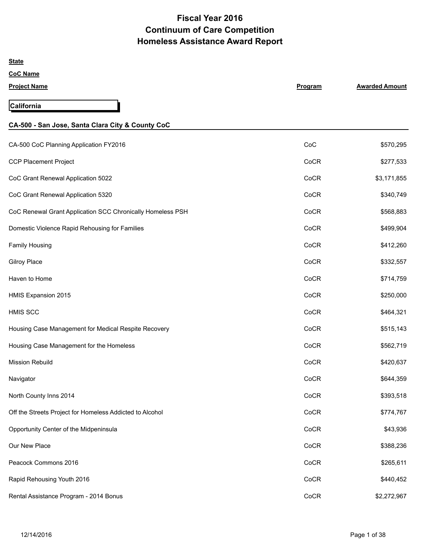# **Fiscal Year 2016 Continuum of Care Competition Homeless Assistance Award Report**

| <b>State</b>                                               |         |                       |
|------------------------------------------------------------|---------|-----------------------|
| <b>CoC Name</b>                                            |         |                       |
| <b>Project Name</b>                                        | Program | <b>Awarded Amount</b> |
| <b>California</b>                                          |         |                       |
| CA-500 - San Jose, Santa Clara City & County CoC           |         |                       |
| CA-500 CoC Planning Application FY2016                     | CoC     | \$570,295             |
| <b>CCP Placement Project</b>                               | CoCR    | \$277,533             |
| CoC Grant Renewal Application 5022                         | CoCR    | \$3,171,855           |
| CoC Grant Renewal Application 5320                         | CoCR    | \$340,749             |
| CoC Renewal Grant Application SCC Chronically Homeless PSH | CoCR    | \$568,883             |
| Domestic Violence Rapid Rehousing for Families             | CoCR    | \$499,904             |
| <b>Family Housing</b>                                      | CoCR    | \$412,260             |
| <b>Gilroy Place</b>                                        | CoCR    | \$332,557             |
| Haven to Home                                              | CoCR    | \$714,759             |
| HMIS Expansion 2015                                        | CoCR    | \$250,000             |
| <b>HMIS SCC</b>                                            | CoCR    | \$464,321             |
| Housing Case Management for Medical Respite Recovery       | CoCR    | \$515,143             |
| Housing Case Management for the Homeless                   | CoCR    | \$562,719             |
| <b>Mission Rebuild</b>                                     | CoCR    | \$420,637             |
| Navigator                                                  | CoCR    | \$644,359             |
| North County Inns 2014                                     | CoCR    | \$393,518             |
| Off the Streets Project for Homeless Addicted to Alcohol   | CoCR    | \$774,767             |
| Opportunity Center of the Midpeninsula                     | CoCR    | \$43,936              |
| Our New Place                                              | CoCR    | \$388,236             |
| Peacock Commons 2016                                       | CoCR    | \$265,611             |
| Rapid Rehousing Youth 2016                                 | CoCR    | \$440,452             |
| Rental Assistance Program - 2014 Bonus                     | CoCR    | \$2,272,967           |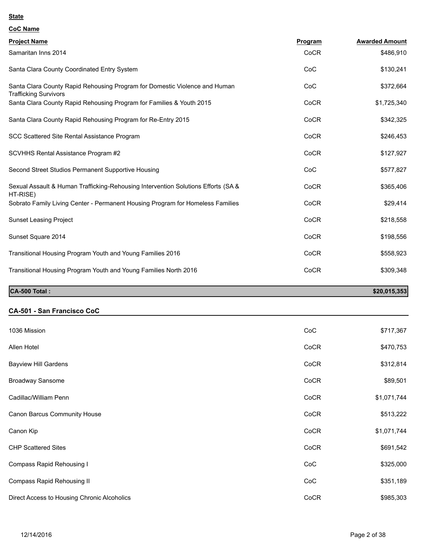| <b>CoC Name</b>                                                                                            |         |                       |
|------------------------------------------------------------------------------------------------------------|---------|-----------------------|
| <b>Project Name</b>                                                                                        | Program | <b>Awarded Amount</b> |
| Samaritan Inns 2014                                                                                        | CoCR    | \$486,910             |
| Santa Clara County Coordinated Entry System                                                                | CoC     | \$130,241             |
| Santa Clara County Rapid Rehousing Program for Domestic Violence and Human<br><b>Trafficking Survivors</b> | CoC     | \$372,664             |
| Santa Clara County Rapid Rehousing Program for Families & Youth 2015                                       | CoCR    | \$1,725,340           |
| Santa Clara County Rapid Rehousing Program for Re-Entry 2015                                               | CoCR    | \$342,325             |
| SCC Scattered Site Rental Assistance Program                                                               | CoCR    | \$246,453             |
| SCVHHS Rental Assistance Program #2                                                                        | CoCR    | \$127,927             |
| Second Street Studios Permanent Supportive Housing                                                         | CoC     | \$577,827             |
| Sexual Assault & Human Trafficking-Rehousing Intervention Solutions Efforts (SA &<br>HT-RISE)              | CoCR    | \$365,406             |
| Sobrato Family Living Center - Permanent Housing Program for Homeless Families                             | CoCR    | \$29,414              |
| <b>Sunset Leasing Project</b>                                                                              | CoCR    | \$218,558             |
| Sunset Square 2014                                                                                         | CoCR    | \$198,556             |
| Transitional Housing Program Youth and Young Families 2016                                                 | CoCR    | \$558,923             |
| Transitional Housing Program Youth and Young Families North 2016                                           | CoCR    | \$309,348             |
|                                                                                                            |         |                       |

# **CA-500 Total :** \$20,015,353

# **CA-501 - San Francisco CoC**

| 1036 Mission                                | CoC  | \$717,367   |
|---------------------------------------------|------|-------------|
| Allen Hotel                                 | CoCR | \$470,753   |
| <b>Bayview Hill Gardens</b>                 | CoCR | \$312,814   |
| Broadway Sansome                            | CoCR | \$89,501    |
| Cadillac/William Penn                       | CoCR | \$1,071,744 |
| Canon Barcus Community House                | CoCR | \$513,222   |
| Canon Kip                                   | CoCR | \$1,071,744 |
| <b>CHP Scattered Sites</b>                  | CoCR | \$691,542   |
| Compass Rapid Rehousing I                   | CoC  | \$325,000   |
| Compass Rapid Rehousing II                  | CoC  | \$351,189   |
| Direct Access to Housing Chronic Alcoholics | CoCR | \$985,303   |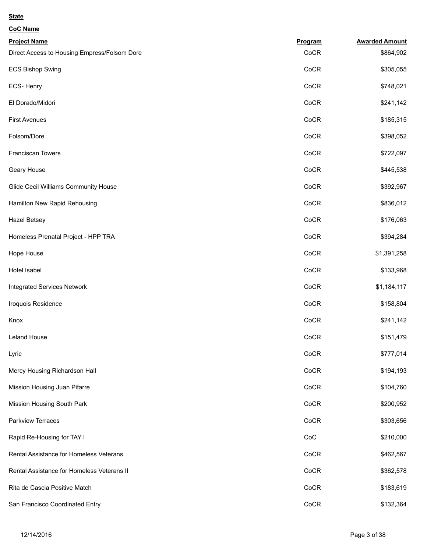| <b>CoC Name</b>                              |         |                       |
|----------------------------------------------|---------|-----------------------|
| <b>Project Name</b>                          | Program | <b>Awarded Amount</b> |
| Direct Access to Housing Empress/Folsom Dore | CoCR    | \$864,902             |
| <b>ECS Bishop Swing</b>                      | CoCR    | \$305,055             |
| ECS-Henry                                    | CoCR    | \$748,021             |
| El Dorado/Midori                             | CoCR    | \$241,142             |
| <b>First Avenues</b>                         | CoCR    | \$185,315             |
| Folsom/Dore                                  | CoCR    | \$398,052             |
| Franciscan Towers                            | CoCR    | \$722,097             |
| Geary House                                  | CoCR    | \$445,538             |
| Glide Cecil Williams Community House         | CoCR    | \$392,967             |
| Hamilton New Rapid Rehousing                 | CoCR    | \$836,012             |
| <b>Hazel Betsey</b>                          | CoCR    | \$176,063             |
| Homeless Prenatal Project - HPP TRA          | CoCR    | \$394,284             |
| Hope House                                   | CoCR    | \$1,391,258           |
| Hotel Isabel                                 | CoCR    | \$133,968             |
| <b>Integrated Services Network</b>           | CoCR    | \$1,184,117           |
| Iroquois Residence                           | CoCR    | \$158,804             |
| Knox                                         | CoCR    | \$241,142             |
| Leland House                                 | CoCR    | \$151,479             |
| Lyric                                        | CoCR    | \$777,014             |
| Mercy Housing Richardson Hall                | CoCR    | \$194,193             |
| Mission Housing Juan Pifarre                 | CoCR    | \$104,760             |
| Mission Housing South Park                   | CoCR    | \$200,952             |
| Parkview Terraces                            | CoCR    | \$303,656             |
| Rapid Re-Housing for TAY I                   | CoC     | \$210,000             |
| Rental Assistance for Homeless Veterans      | CoCR    | \$462,567             |
| Rental Assistance for Homeless Veterans II   | CoCR    | \$362,578             |
| Rita de Cascia Positive Match                | CoCR    | \$183,619             |
| San Francisco Coordinated Entry              | CoCR    | \$132,364             |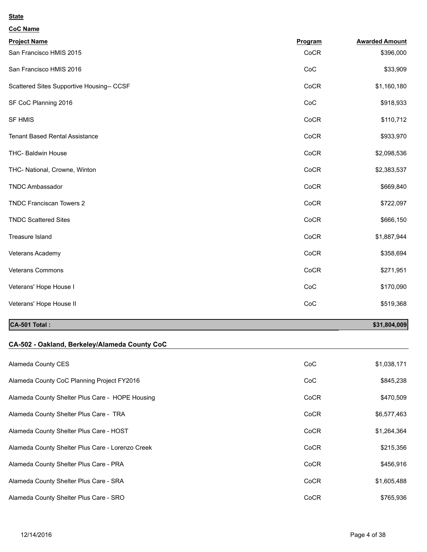| <b>CoC Name</b>                           |         |                       |
|-------------------------------------------|---------|-----------------------|
| <b>Project Name</b>                       | Program | <b>Awarded Amount</b> |
| San Francisco HMIS 2015                   | CoCR    | \$396,000             |
| San Francisco HMIS 2016                   | CoC     | \$33,909              |
| Scattered Sites Supportive Housing-- CCSF | CoCR    | \$1,160,180           |
| SF CoC Planning 2016                      | CoC     | \$918,933             |
| <b>SF HMIS</b>                            | CoCR    | \$110,712             |
| <b>Tenant Based Rental Assistance</b>     | CoCR    | \$933,970             |
| THC- Baldwin House                        | CoCR    | \$2,098,536           |
| THC- National, Crowne, Winton             | CoCR    | \$2,383,537           |
| <b>TNDC Ambassador</b>                    | CoCR    | \$669,840             |
| <b>TNDC Franciscan Towers 2</b>           | CoCR    | \$722,097             |
| <b>TNDC Scattered Sites</b>               | CoCR    | \$666,150             |
| Treasure Island                           | CoCR    | \$1,887,944           |
| Veterans Academy                          | CoCR    | \$358,694             |
| <b>Veterans Commons</b>                   | CoCR    | \$271,951             |
| Veterans' Hope House I                    | CoC     | \$170,090             |
| Veterans' Hope House II                   | CoC     | \$519,368             |
|                                           |         |                       |

# **CA-501 Total :** \$31,804,009

# **CA-502 - Oakland, Berkeley/Alameda County CoC**

| Alameda County CES                               | CoC  | \$1,038,171 |
|--------------------------------------------------|------|-------------|
| Alameda County CoC Planning Project FY2016       | CoC  | \$845,238   |
| Alameda County Shelter Plus Care - HOPE Housing  | CoCR | \$470,509   |
| Alameda County Shelter Plus Care - TRA           | CoCR | \$6,577,463 |
| Alameda County Shelter Plus Care - HOST          | CoCR | \$1,264,364 |
| Alameda County Shelter Plus Care - Lorenzo Creek | CoCR | \$215,356   |
| Alameda County Shelter Plus Care - PRA           | CoCR | \$456,916   |
| Alameda County Shelter Plus Care - SRA           | CoCR | \$1,605,488 |
| Alameda County Shelter Plus Care - SRO           | CoCR | \$765,936   |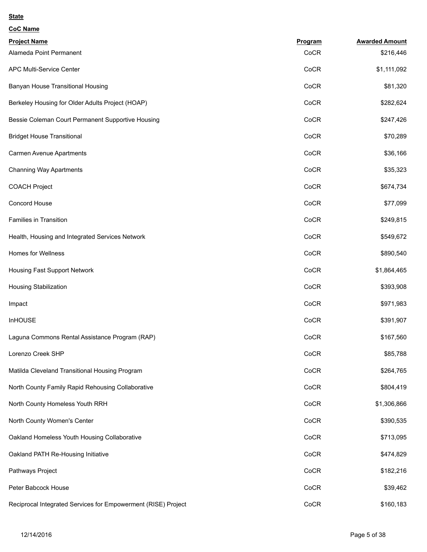| <b>CoC Name</b>                                               |         |                       |
|---------------------------------------------------------------|---------|-----------------------|
| <b>Project Name</b>                                           | Program | <b>Awarded Amount</b> |
| Alameda Point Permanent                                       | CoCR    | \$216,446             |
| APC Multi-Service Center                                      | CoCR    | \$1,111,092           |
| Banyan House Transitional Housing                             | CoCR    | \$81,320              |
| Berkeley Housing for Older Adults Project (HOAP)              | CoCR    | \$282,624             |
| Bessie Coleman Court Permanent Supportive Housing             | CoCR    | \$247,426             |
| <b>Bridget House Transitional</b>                             | CoCR    | \$70,289              |
| Carmen Avenue Apartments                                      | CoCR    | \$36,166              |
| <b>Channing Way Apartments</b>                                | CoCR    | \$35,323              |
| <b>COACH Project</b>                                          | CoCR    | \$674,734             |
| Concord House                                                 | CoCR    | \$77,099              |
| <b>Families in Transition</b>                                 | CoCR    | \$249,815             |
| Health, Housing and Integrated Services Network               | CoCR    | \$549,672             |
| <b>Homes for Wellness</b>                                     | CoCR    | \$890,540             |
| Housing Fast Support Network                                  | CoCR    | \$1,864,465           |
| <b>Housing Stabilization</b>                                  | CoCR    | \$393,908             |
| Impact                                                        | CoCR    | \$971,983             |
| <b>InHOUSE</b>                                                | CoCR    | \$391,907             |
| Laguna Commons Rental Assistance Program (RAP)                | CoCR    | \$167,560             |
| Lorenzo Creek SHP                                             | CoCR    | \$85,788              |
| Matilda Cleveland Transitional Housing Program                | CoCR    | \$264,765             |
| North County Family Rapid Rehousing Collaborative             | CoCR    | \$804,419             |
| North County Homeless Youth RRH                               | CoCR    | \$1,306,866           |
| North County Women's Center                                   | CoCR    | \$390,535             |
| Oakland Homeless Youth Housing Collaborative                  | CoCR    | \$713,095             |
| Oakland PATH Re-Housing Initiative                            | CoCR    | \$474,829             |
| Pathways Project                                              | CoCR    | \$182,216             |
| Peter Babcock House                                           | CoCR    | \$39,462              |
| Reciprocal Integrated Services for Empowerment (RISE) Project | CoCR    | \$160,183             |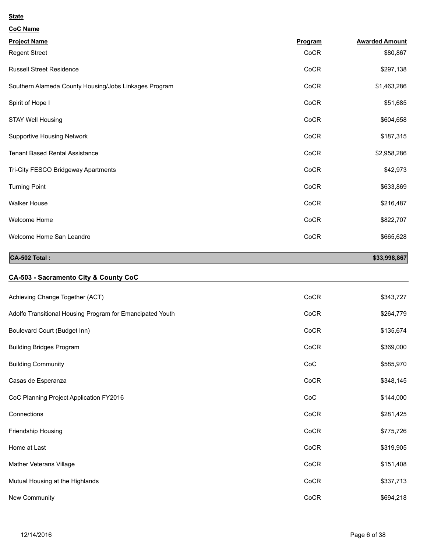| <b>CoC Name</b>                                       |         |                       |
|-------------------------------------------------------|---------|-----------------------|
| <b>Project Name</b>                                   | Program | <b>Awarded Amount</b> |
| <b>Regent Street</b>                                  | CoCR    | \$80,867              |
| <b>Russell Street Residence</b>                       | CoCR    | \$297,138             |
| Southern Alameda County Housing/Jobs Linkages Program | CoCR    | \$1,463,286           |
| Spirit of Hope I                                      | CoCR    | \$51,685              |
| <b>STAY Well Housing</b>                              | CoCR    | \$604,658             |
| <b>Supportive Housing Network</b>                     | CoCR    | \$187,315             |
| <b>Tenant Based Rental Assistance</b>                 | CoCR    | \$2,958,286           |
| Tri-City FESCO Bridgeway Apartments                   | CoCR    | \$42,973              |
| <b>Turning Point</b>                                  | CoCR    | \$633,869             |
| <b>Walker House</b>                                   | CoCR    | \$216,487             |
| Welcome Home                                          | CoCR    | \$822,707             |
| Welcome Home San Leandro                              | CoCR    | \$665,628             |

# **CA-502 Total :** \$33,998,867

# **CA-503 - Sacramento City & County CoC**

| Achieving Change Together (ACT)                           | CoCR | \$343,727 |
|-----------------------------------------------------------|------|-----------|
| Adolfo Transitional Housing Program for Emancipated Youth | CoCR | \$264,779 |
| Boulevard Court (Budget Inn)                              | CoCR | \$135,674 |
| <b>Building Bridges Program</b>                           | CoCR | \$369,000 |
| <b>Building Community</b>                                 | CoC  | \$585,970 |
| Casas de Esperanza                                        | CoCR | \$348,145 |
| CoC Planning Project Application FY2016                   | CoC  | \$144,000 |
| Connections                                               | CoCR | \$281,425 |
| Friendship Housing                                        | CoCR | \$775,726 |
| Home at Last                                              | CoCR | \$319,905 |
| Mather Veterans Village                                   | CoCR | \$151,408 |
| Mutual Housing at the Highlands                           | CoCR | \$337,713 |
| New Community                                             | CoCR | \$694,218 |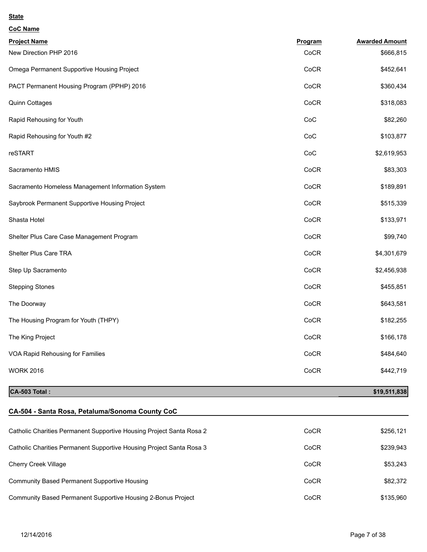| <b>CoC Name</b>                                   |         |                       |
|---------------------------------------------------|---------|-----------------------|
| <b>Project Name</b>                               | Program | <b>Awarded Amount</b> |
| New Direction PHP 2016                            | CoCR    | \$666,815             |
| Omega Permanent Supportive Housing Project        | CoCR    | \$452,641             |
| PACT Permanent Housing Program (PPHP) 2016        | CoCR    | \$360,434             |
| Quinn Cottages                                    | CoCR    | \$318,083             |
| Rapid Rehousing for Youth                         | CoC     | \$82,260              |
| Rapid Rehousing for Youth #2                      | CoC     | \$103,877             |
| reSTART                                           | CoC     | \$2,619,953           |
| Sacramento HMIS                                   | CoCR    | \$83,303              |
| Sacramento Homeless Management Information System | CoCR    | \$189,891             |
| Saybrook Permanent Supportive Housing Project     | CoCR    | \$515,339             |
| Shasta Hotel                                      | CoCR    | \$133,971             |
| Shelter Plus Care Case Management Program         | CoCR    | \$99,740              |
| Shelter Plus Care TRA                             | CoCR    | \$4,301,679           |
| Step Up Sacramento                                | CoCR    | \$2,456,938           |
| <b>Stepping Stones</b>                            | CoCR    | \$455,851             |
| The Doorway                                       | CoCR    | \$643,581             |
| The Housing Program for Youth (THPY)              | CoCR    | \$182,255             |
| The King Project                                  | CoCR    | \$166,178             |
| VOA Rapid Rehousing for Families                  | CoCR    | \$484,640             |
| <b>WORK 2016</b>                                  | CoCR    | \$442,719             |

**CA-503 Total :** \$19,511,838

# **CA-504 - Santa Rosa, Petaluma/Sonoma County CoC** Catholic Charities Permanent Supportive Housing Project Santa Rosa 2 CoCR CoCR \$256,121 Catholic Charities Permanent Supportive Housing Project Santa Rosa 3 CoCR CoCR \$239,943

Cherry Creek Village \$53,243 Community Based Permanent Supportive Housing Community Based Permanent Supportive Housing Cock \$82,372

Community Based Permanent Supportive Housing 2-Bonus Project Community Based Permanent Supportive Housing 2-Bonus Project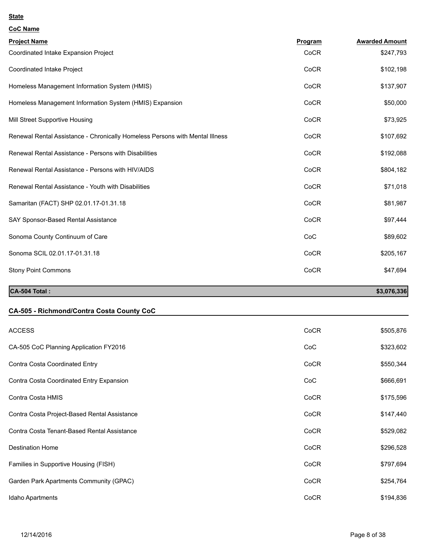| <b>CoC Name</b>                                                              |         |                       |
|------------------------------------------------------------------------------|---------|-----------------------|
| <b>Project Name</b>                                                          | Program | <b>Awarded Amount</b> |
| Coordinated Intake Expansion Project                                         | CoCR    | \$247,793             |
| Coordinated Intake Project                                                   | CoCR    | \$102,198             |
| Homeless Management Information System (HMIS)                                | CoCR    | \$137,907             |
| Homeless Management Information System (HMIS) Expansion                      | CoCR    | \$50,000              |
| Mill Street Supportive Housing                                               | CoCR    | \$73,925              |
| Renewal Rental Assistance - Chronically Homeless Persons with Mental Illness | CoCR    | \$107,692             |
| Renewal Rental Assistance - Persons with Disabilities                        | CoCR    | \$192,088             |
| Renewal Rental Assistance - Persons with HIV/AIDS                            | CoCR    | \$804,182             |
| Renewal Rental Assistance - Youth with Disabilities                          | CoCR    | \$71,018              |
| Samaritan (FACT) SHP 02.01.17-01.31.18                                       | CoCR    | \$81,987              |
| SAY Sponsor-Based Rental Assistance                                          | CoCR    | \$97,444              |
| Sonoma County Continuum of Care                                              | CoC     | \$89,602              |
| Sonoma SCIL 02.01.17-01.31.18                                                | CoCR    | \$205,167             |
| <b>Stony Point Commons</b>                                                   | CoCR    | \$47,694              |
| CA-504 Total:                                                                |         | \$3,076,336           |

# **CA-505 - Richmond/Contra Costa County CoC**

| <b>ACCESS</b>                                | CoCR | \$505,876 |
|----------------------------------------------|------|-----------|
| CA-505 CoC Planning Application FY2016       | CoC  | \$323,602 |
| Contra Costa Coordinated Entry               | CoCR | \$550,344 |
| Contra Costa Coordinated Entry Expansion     | CoC  | \$666,691 |
| Contra Costa HMIS                            | CoCR | \$175,596 |
| Contra Costa Project-Based Rental Assistance | CoCR | \$147,440 |
| Contra Costa Tenant-Based Rental Assistance  | CoCR | \$529,082 |
| <b>Destination Home</b>                      | CoCR | \$296,528 |
| Families in Supportive Housing (FISH)        | CoCR | \$797,694 |
| Garden Park Apartments Community (GPAC)      | CoCR | \$254,764 |
| Idaho Apartments                             | CoCR | \$194,836 |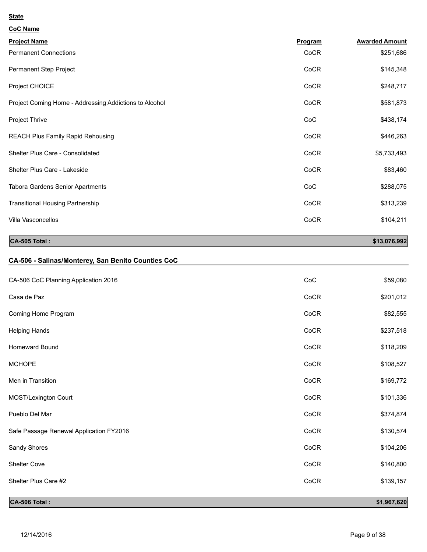| <b>CoC Name</b>                                        |         |                       |
|--------------------------------------------------------|---------|-----------------------|
| <b>Project Name</b>                                    | Program | <b>Awarded Amount</b> |
| <b>Permanent Connections</b>                           | CoCR    | \$251,686             |
| Permanent Step Project                                 | CoCR    | \$145,348             |
| Project CHOICE                                         | CoCR    | \$248,717             |
| Project Coming Home - Addressing Addictions to Alcohol | CoCR    | \$581,873             |
| Project Thrive                                         | CoC     | \$438,174             |
| <b>REACH Plus Family Rapid Rehousing</b>               | CoCR    | \$446,263             |
| Shelter Plus Care - Consolidated                       | CoCR    | \$5,733,493           |
| Shelter Plus Care - Lakeside                           | CoCR    | \$83,460              |
| Tabora Gardens Senior Apartments                       | CoC     | \$288,075             |
| <b>Transitional Housing Partnership</b>                | CoCR    | \$313,239             |
| Villa Vasconcellos                                     | CoCR    | \$104,211             |
|                                                        |         |                       |

**CA-505 Total :** \$13,076,992

# **CA-506 - Salinas/Monterey, San Benito Counties CoC**

| CA-506 Total:                           |      | \$1,967,620 |
|-----------------------------------------|------|-------------|
| Shelter Plus Care #2                    | CoCR | \$139,157   |
| Shelter Cove                            | CoCR | \$140,800   |
| Sandy Shores                            | CoCR | \$104,206   |
| Safe Passage Renewal Application FY2016 | CoCR | \$130,574   |
| Pueblo Del Mar                          | CoCR | \$374,874   |
| MOST/Lexington Court                    | CoCR | \$101,336   |
| Men in Transition                       | CoCR | \$169,772   |
| <b>MCHOPE</b>                           | CoCR | \$108,527   |
| Homeward Bound                          | CoCR | \$118,209   |
| <b>Helping Hands</b>                    | CoCR | \$237,518   |
| Coming Home Program                     | CoCR | \$82,555    |
| Casa de Paz                             | CoCR | \$201,012   |
| CA-506 CoC Planning Application 2016    | CoC  | \$59,080    |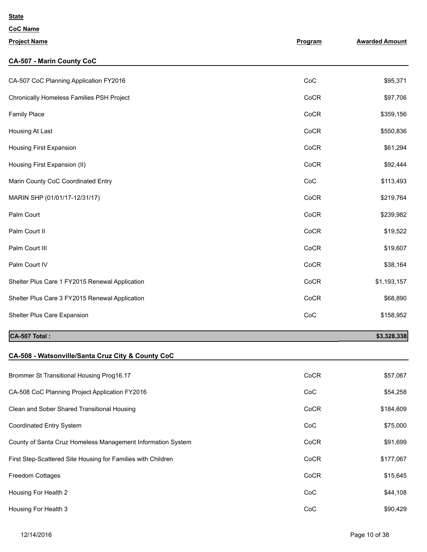| <b>CoC Name</b>                                              |         |                       |
|--------------------------------------------------------------|---------|-----------------------|
| <b>Project Name</b>                                          | Program | <b>Awarded Amount</b> |
| <b>CA-507 - Marin County CoC</b>                             |         |                       |
| CA-507 CoC Planning Application FY2016                       | CoC     | \$95,371              |
| Chronically Homeless Families PSH Project                    | CoCR    | \$97,706              |
| <b>Family Place</b>                                          | CoCR    | \$359,156             |
| Housing At Last                                              | CoCR    | \$550,836             |
| Housing First Expansion                                      | CoCR    | \$61,294              |
| Housing First Expansion (II)                                 | CoCR    | \$92,444              |
| Marin County CoC Coordinated Entry                           | CoC     | \$113,493             |
| MARIN SHP (01/01/17-12/31/17)                                | CoCR    | \$219,764             |
| Palm Court                                                   | CoCR    | \$239,982             |
| Palm Court II                                                | CoCR    | \$19,522              |
| Palm Court III                                               | CoCR    | \$19,607              |
| Palm Court IV                                                | CoCR    | \$38,164              |
| Shelter Plus Care 1 FY2015 Renewal Application               | CoCR    | \$1,193,157           |
| Shelter Plus Care 3 FY2015 Renewal Application               | CoCR    | \$68,890              |
| Shelter Plus Care Expansion                                  | CoC     | \$158,952             |
| CA-507 Total :                                               |         | \$3,328,338           |
| CA-508 - Watsonville/Santa Cruz City & County CoC            |         |                       |
| Brommer St Transitional Housing Prog16.17                    | CoCR    | \$57,067              |
| CA-508 CoC Planning Project Application FY2016               | CoC     | \$54,258              |
| Clean and Sober Shared Transitional Housing                  | CoCR    | \$184,609             |
| Coordinated Entry System                                     | CoC     | \$75,000              |
| County of Santa Cruz Homeless Management Information System  | CoCR    | \$91,699              |
| First Step-Scattered Site Housing for Families with Children | CoCR    | \$177,067             |
| Freedom Cottages                                             | CoCR    | \$15,645              |
| Housing For Health 2                                         | CoC     | \$44,108              |
| Housing For Health 3                                         | CoC     | \$90,429              |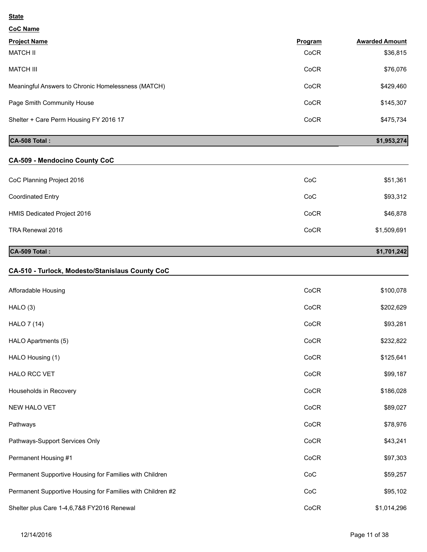| <b>CoC Name</b>                                            |         |                       |
|------------------------------------------------------------|---------|-----------------------|
| <b>Project Name</b>                                        | Program | <b>Awarded Amount</b> |
| <b>MATCH II</b>                                            | CoCR    | \$36,815              |
| <b>MATCH III</b>                                           | CoCR    | \$76,076              |
| Meaningful Answers to Chronic Homelessness (MATCH)         | CoCR    | \$429,460             |
| Page Smith Community House                                 | CoCR    | \$145,307             |
| Shelter + Care Perm Housing FY 2016 17                     | CoCR    | \$475,734             |
| CA-508 Total:                                              |         | \$1,953,274           |
| <b>CA-509 - Mendocino County CoC</b>                       |         |                       |
| CoC Planning Project 2016                                  | CoC     | \$51,361              |
| <b>Coordinated Entry</b>                                   | CoC     | \$93,312              |
| HMIS Dedicated Project 2016                                | CoCR    | \$46,878              |
| TRA Renewal 2016                                           | CoCR    | \$1,509,691           |
| CA-509 Total:                                              |         | \$1,701,242           |
| CA-510 - Turlock, Modesto/Stanislaus County CoC            |         |                       |
| Afforadable Housing                                        | CoCR    | \$100,078             |
| HALO (3)                                                   | CoCR    | \$202,629             |
| <b>HALO 7 (14)</b>                                         | CoCR    | \$93,281              |
| HALO Apartments (5)                                        | CoCR    | \$232,822             |
| HALO Housing (1)                                           | CoCR    | \$125,641             |
| HALO RCC VET                                               | CoCR    | \$99,187              |
| Households in Recovery                                     | CoCR    | \$186,028             |
| NEW HALO VET                                               | CoCR    | \$89,027              |
| Pathways                                                   | CoCR    | \$78,976              |
| Pathways-Support Services Only                             | CoCR    | \$43,241              |
| Permanent Housing #1                                       | CoCR    | \$97,303              |
| Permanent Supportive Housing for Families with Children    | CoC     | \$59,257              |
| Permanent Supportive Housing for Families with Children #2 | CoC     | \$95,102              |
| Shelter plus Care 1-4,6,7&8 FY2016 Renewal                 | CoCR    | \$1,014,296           |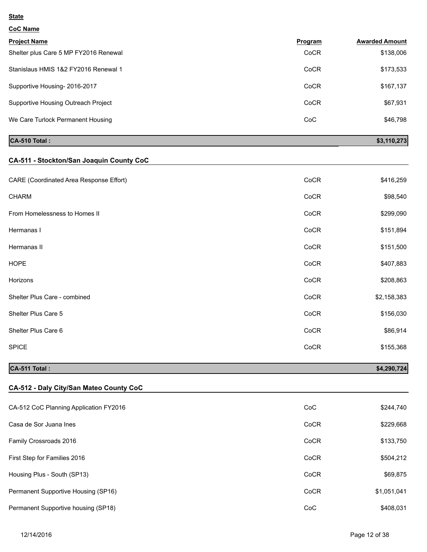| <b>CoC Name</b> |
|-----------------|
|                 |

| <b>Project Name</b>                   | Program | <b>Awarded Amount</b> |
|---------------------------------------|---------|-----------------------|
| Shelter plus Care 5 MP FY2016 Renewal | CoCR    | \$138,006             |
| Stanislaus HMIS 1&2 FY2016 Renewal 1  | CoCR    | \$173,533             |
| Supportive Housing-2016-2017          | CoCR    | \$167,137             |
| Supportive Housing Outreach Project   | CoCR    | \$67,931              |
| We Care Turlock Permanent Housing     | CoC     | \$46,798              |

# **CA-510 Total :** \$3,110,273

# **CA-511 - Stockton/San Joaquin County CoC**

| CA-511 Total:                           |      | \$4,290,724 |
|-----------------------------------------|------|-------------|
| <b>SPICE</b>                            | CoCR | \$155,368   |
| Shelter Plus Care 6                     | CoCR | \$86,914    |
| Shelter Plus Care 5                     | CoCR | \$156,030   |
| Shelter Plus Care - combined            | CoCR | \$2,158,383 |
| Horizons                                | CoCR | \$208,863   |
| <b>HOPE</b>                             | CoCR | \$407,883   |
| Hermanas II                             | CoCR | \$151,500   |
| Hermanas I                              | CoCR | \$151,894   |
| From Homelessness to Homes II           | CoCR | \$299,090   |
| <b>CHARM</b>                            | CoCR | \$98,540    |
| CARE (Coordinated Area Response Effort) | CoCR | \$416,259   |
|                                         |      |             |

# **CA-512 - Daly City/San Mateo County CoC**

| CA-512 CoC Planning Application FY2016 | CoC  | \$244,740   |
|----------------------------------------|------|-------------|
| Casa de Sor Juana Ines                 | CoCR | \$229,668   |
| Family Crossroads 2016                 | CoCR | \$133,750   |
| First Step for Families 2016           | CoCR | \$504,212   |
| Housing Plus - South (SP13)            | CoCR | \$69,875    |
| Permanent Supportive Housing (SP16)    | CoCR | \$1,051,041 |
| Permanent Supportive housing (SP18)    | CoC  | \$408,031   |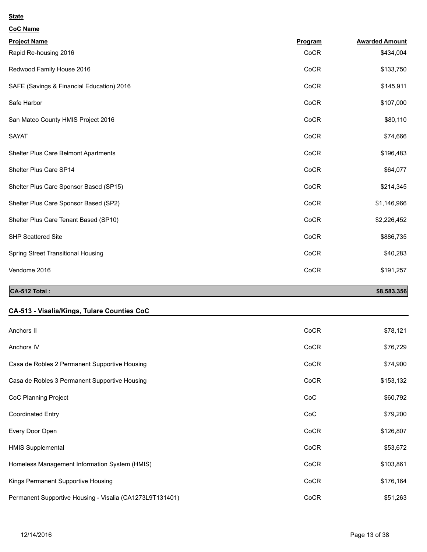| <b>CoC Name</b>                           |         |                       |
|-------------------------------------------|---------|-----------------------|
| <b>Project Name</b>                       | Program | <b>Awarded Amount</b> |
| Rapid Re-housing 2016                     | CoCR    | \$434,004             |
| Redwood Family House 2016                 | CoCR    | \$133,750             |
| SAFE (Savings & Financial Education) 2016 | CoCR    | \$145,911             |
| Safe Harbor                               | CoCR    | \$107,000             |
| San Mateo County HMIS Project 2016        | CoCR    | \$80,110              |
| <b>SAYAT</b>                              | CoCR    | \$74,666              |
| Shelter Plus Care Belmont Apartments      | CoCR    | \$196,483             |
| Shelter Plus Care SP14                    | CoCR    | \$64,077              |
| Shelter Plus Care Sponsor Based (SP15)    | CoCR    | \$214,345             |
| Shelter Plus Care Sponsor Based (SP2)     | CoCR    | \$1,146,966           |
| Shelter Plus Care Tenant Based (SP10)     | CoCR    | \$2,226,452           |
| <b>SHP Scattered Site</b>                 | CoCR    | \$886,735             |
| Spring Street Transitional Housing        | CoCR    | \$40,283              |
| Vendome 2016                              | CoCR    | \$191,257             |

# ان المحمد المحمد المحمد المحمد المحمد المحمد المحمد المحمد المحمد المحمد المحمد المحمد المحمد المحمد المحمد المحمد ا

# **CA-513 - Visalia/Kings, Tulare Counties CoC**

| Anchors II                                               | CoCR | \$78,121  |
|----------------------------------------------------------|------|-----------|
| Anchors IV                                               | CoCR | \$76,729  |
| Casa de Robles 2 Permanent Supportive Housing            | CoCR | \$74,900  |
| Casa de Robles 3 Permanent Supportive Housing            | CoCR | \$153,132 |
| CoC Planning Project                                     | CoC  | \$60,792  |
| <b>Coordinated Entry</b>                                 | CoC  | \$79,200  |
| Every Door Open                                          | CoCR | \$126,807 |
| <b>HMIS Supplemental</b>                                 | CoCR | \$53,672  |
| Homeless Management Information System (HMIS)            | CoCR | \$103,861 |
| Kings Permanent Supportive Housing                       | CoCR | \$176,164 |
| Permanent Supportive Housing - Visalia (CA1273L9T131401) | CoCR | \$51,263  |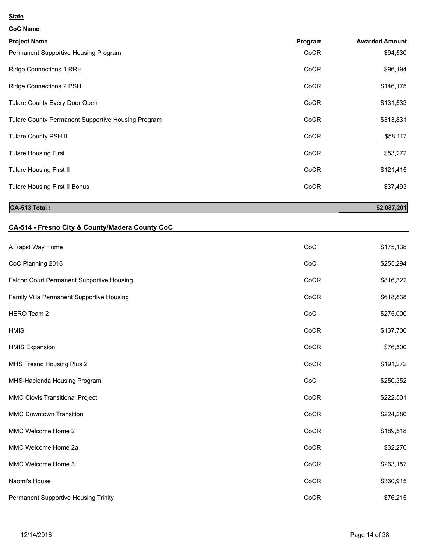| <b>CoC Name</b> |
|-----------------|
|                 |

| <b>Project Name</b>                                | Program     | <b>Awarded Amount</b> |
|----------------------------------------------------|-------------|-----------------------|
| Permanent Supportive Housing Program               | CoCR        | \$94,530              |
| <b>Ridge Connections 1 RRH</b>                     | CoCR        | \$96,194              |
| Ridge Connections 2 PSH                            | CoCR        | \$146,175             |
| Tulare County Every Door Open                      | CoCR        | \$131,533             |
| Tulare County Permanent Supportive Housing Program | CoCR        | \$313,831             |
| Tulare County PSH II                               | CoCR        | \$58,117              |
| <b>Tulare Housing First</b>                        | CoCR        | \$53,272              |
| <b>Tulare Housing First II</b>                     | <b>CoCR</b> | \$121,415             |
| Tulare Housing First II Bonus                      | CoCR        | \$37,493              |
|                                                    |             |                       |

# **CA-513 Total :** \$2,087,201

# **CA-514 - Fresno City & County/Madera County CoC**

| A Rapid Way Home                          | CoC  | \$175,138 |
|-------------------------------------------|------|-----------|
| CoC Planning 2016                         | CoC  | \$255,294 |
| Falcon Court Permanent Supportive Housing | CoCR | \$816,322 |
| Family Villa Permanent Supportive Housing | CoCR | \$618,838 |
| HERO Team 2                               | CoC  | \$275,000 |
| <b>HMIS</b>                               | CoCR | \$137,700 |
| <b>HMIS Expansion</b>                     | CoCR | \$76,500  |
| MHS Fresno Housing Plus 2                 | CoCR | \$191,272 |
| MHS-Hacienda Housing Program              | CoC  | \$250,352 |
| MMC Clovis Transitional Project           | CoCR | \$222,501 |
| <b>MMC Downtown Transition</b>            | CoCR | \$224,280 |
| MMC Welcome Home 2                        | CoCR | \$189,518 |
| MMC Welcome Home 2a                       | CoCR | \$32,270  |
| MMC Welcome Home 3                        | CoCR | \$263,157 |
| Naomi's House                             | CoCR | \$360,915 |
| Permanent Supportive Housing Trinity      | CoCR | \$76,215  |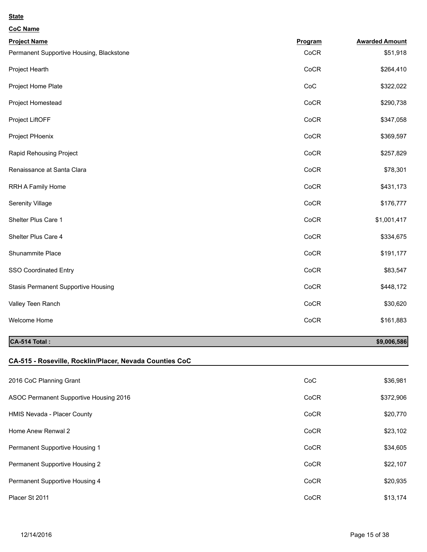| <b>CoC Name</b>                            |         |                       |
|--------------------------------------------|---------|-----------------------|
| <b>Project Name</b>                        | Program | <b>Awarded Amount</b> |
| Permanent Supportive Housing, Blackstone   | CoCR    | \$51,918              |
| Project Hearth                             | CoCR    | \$264,410             |
| Project Home Plate                         | CoC     | \$322,022             |
| Project Homestead                          | CoCR    | \$290,738             |
| Project LiftOFF                            | CoCR    | \$347,058             |
| Project PHoenix                            | CoCR    | \$369,597             |
| Rapid Rehousing Project                    | CoCR    | \$257,829             |
| Renaissance at Santa Clara                 | CoCR    | \$78,301              |
| RRH A Family Home                          | CoCR    | \$431,173             |
| Serenity Village                           | CoCR    | \$176,777             |
| Shelter Plus Care 1                        | CoCR    | \$1,001,417           |
| Shelter Plus Care 4                        | CoCR    | \$334,675             |
| Shunammite Place                           | CoCR    | \$191,177             |
| SSO Coordinated Entry                      | CoCR    | \$83,547              |
| <b>Stasis Permanent Supportive Housing</b> | CoCR    | \$448,172             |
| Valley Teen Ranch                          | CoCR    | \$30,620              |
| Welcome Home                               | CoCR    | \$161,883             |

# **CA-514 Total :** \$9,006,586<sup>1</sup>

### **CA-515 - Roseville, Rocklin/Placer, Nevada Counties CoC**

| 2016 CoC Planning Grant                | CoC         | \$36,981  |
|----------------------------------------|-------------|-----------|
| ASOC Permanent Supportive Housing 2016 | <b>CoCR</b> | \$372,906 |
| HMIS Nevada - Placer County            | <b>CoCR</b> | \$20,770  |
| Home Anew Renwal 2                     | CoCR        | \$23,102  |
| Permanent Supportive Housing 1         | CoCR        | \$34,605  |
| Permanent Supportive Housing 2         | CoCR        | \$22,107  |
| Permanent Supportive Housing 4         | CoCR        | \$20,935  |
| Placer St 2011                         | CoCR        | \$13,174  |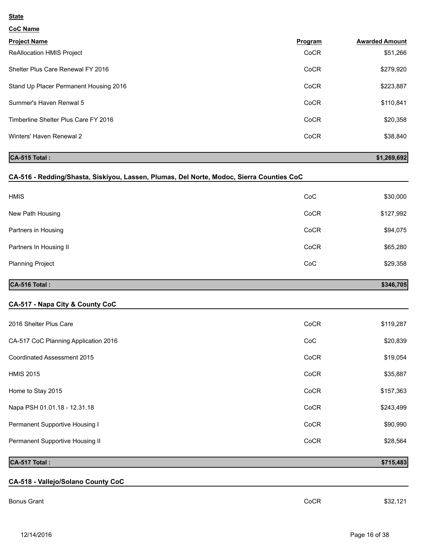**CoC Name**

| <b>Project Name</b>                    | Program | <b>Awarded Amount</b> |
|----------------------------------------|---------|-----------------------|
| <b>ReAllocation HMIS Project</b>       | CoCR    | \$51,266              |
| Shelter Plus Care Renewal FY 2016      | CoCR    | \$279,920             |
| Stand Up Placer Permanent Housing 2016 | CoCR    | \$223,887             |
| Summer's Haven Renwal 5                | CoCR    | \$110,841             |
| Timberline Shelter Plus Care FY 2016   | CoCR    | \$20,358              |
| Winters' Haven Renewal 2               | CoCR    | \$38,840              |
|                                        |         |                       |

# **CA-515 Total :** \$1,269,692

### **CA-516 - Redding/Shasta, Siskiyou, Lassen, Plumas, Del Norte, Modoc, Sierra Counties CoC**

| <b>HMIS</b>             | CoC  | \$30,000  |
|-------------------------|------|-----------|
| New Path Housing        | CoCR | \$127,992 |
| Partners in Housing     | CoCR | \$94,075  |
| Partners In Housing II  | CoCR | \$65,280  |
| <b>Planning Project</b> | CoC  | \$29,358  |
|                         |      |           |

# **CA-516 Total :** \$346,705

### **CA-517 - Napa City & County CoC**

| 2016 Shelter Plus Care               | CoCR | \$119,287 |
|--------------------------------------|------|-----------|
| CA-517 CoC Planning Application 2016 | CoC  | \$20,839  |
| Coordinated Assessment 2015          | CoCR | \$19,054  |
| <b>HMIS 2015</b>                     | CoCR | \$35,887  |
| Home to Stay 2015                    | CoCR | \$157,363 |
| Napa PSH 01.01.18 - 12.31.18         | CoCR | \$243,499 |
| Permanent Supportive Housing I       | CoCR | \$90,990  |
| Permanent Supportive Housing II      | CoCR | \$28,564  |

### **CA-517 Total :** \$715,483

# **CA-518 - Vallejo/Solano County CoC**

Bonus Grant CoCR \$32,121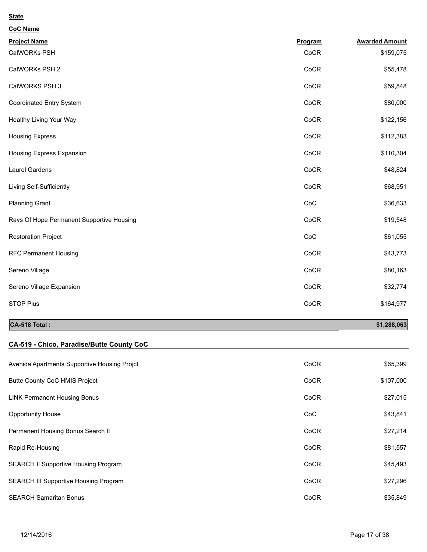| <b>CoC Name</b>                           |         |                       |
|-------------------------------------------|---------|-----------------------|
| <b>Project Name</b>                       | Program | <b>Awarded Amount</b> |
| CalWORKs PSH                              | CoCR    | \$159,075             |
| CalWORKs PSH 2                            | CoCR    | \$55,478              |
| CalWORKS PSH 3                            | CoCR    | \$59,848              |
| Coordinated Entry System                  | CoCR    | \$80,000              |
| Healthy Living Your Way                   | CoCR    | \$122,156             |
| <b>Housing Express</b>                    | CoCR    | \$112,383             |
| Housing Express Expansion                 | CoCR    | \$110,304             |
| Laurel Gardens                            | CoCR    | \$48,824              |
| Living Self-Sufficiently                  | CoCR    | \$68,951              |
| <b>Planning Grant</b>                     | CoC     | \$36,633              |
| Rays Of Hope Permanent Supportive Housing | CoCR    | \$19,548              |
| <b>Restoration Project</b>                | CoC     | \$61,055              |
| <b>RFC Permanent Housing</b>              | CoCR    | \$43,773              |
| Sereno Village                            | CoCR    | \$80,163              |
| Sereno Village Expansion                  | CoCR    | \$32,774              |
| <b>STOP Plus</b>                          | CoCR    | \$164,977             |
|                                           |         |                       |

# **CA-518 Total :** \$1,288,063

# **CA-519 - Chico, Paradise/Butte County CoC**

| Avenida Apartments Supportive Housing Projct | CoCR | \$65,399  |
|----------------------------------------------|------|-----------|
| <b>Butte County CoC HMIS Project</b>         | CoCR | \$107,000 |
| <b>LINK Permanent Housing Bonus</b>          | CoCR | \$27,015  |
| <b>Opportunity House</b>                     | CoC  | \$43,841  |
| Permanent Housing Bonus Search II            | CoCR | \$27,214  |
| Rapid Re-Housing                             | CoCR | \$81,557  |
| <b>SEARCH II Supportive Housing Program</b>  | CoCR | \$45,493  |
| <b>SEARCH III Supportive Housing Program</b> | CoCR | \$27,296  |
| <b>SEARCH Samaritan Bonus</b>                | CoCR | \$35,849  |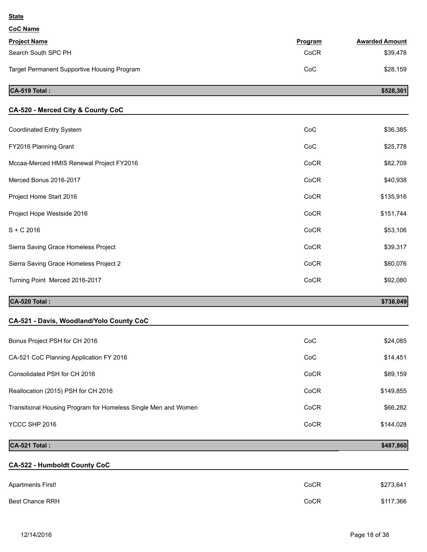| <b>CoC Name</b>                             |         |                       |
|---------------------------------------------|---------|-----------------------|
| <b>Project Name</b>                         | Program | <b>Awarded Amount</b> |
| Search South SPC PH                         | CoCR    | \$39,478              |
| Target Permanent Supportive Housing Program | CoC     | \$28,159              |
| CA-519 Total:                               |         | \$528,301             |
|                                             |         |                       |

| CA-520 - Merced City & County CoC        |      |           |
|------------------------------------------|------|-----------|
| Coordinated Entry System                 | CoC  | \$36,385  |
| FY2016 Planning Grant                    | CoC  | \$25,778  |
| Mccaa-Merced HMIS Renewal Project FY2016 | CoCR | \$82,709  |
| Merced Bonus 2016-2017                   | CoCR | \$40,938  |
| Project Home Start 2016                  | CoCR | \$135,916 |
| Project Hope Westside 2016               | CoCR | \$151,744 |
| $S + C$ 2016                             | CoCR | \$53,106  |
| Sierra Saving Grace Homeless Project     | CoCR | \$39,317  |
| Sierra Saving Grace Homeless Project 2   | CoCR | \$80,076  |
| Turning Point Merced 2016-2017           | CoCR | \$92,080  |
|                                          |      |           |

# **CA-520 Total :** \$738,049

**State**

| CA-521 - Davis, Woodland/Yolo County CoC                       |      |           |
|----------------------------------------------------------------|------|-----------|
| Bonus Project PSH for CH 2016                                  | CoC  | \$24,085  |
| CA-521 CoC Planning Application FY 2016                        | CoC  | \$14,451  |
| Consolidated PSH for CH 2016                                   | CoCR | \$89,159  |
| Reallocation (2015) PSH for CH 2016                            | CoCR | \$149,855 |
| Transitional Housing Program for Homeless Single Men and Women | CoCR | \$66,282  |
| YCCC SHP 2016                                                  | CoCR | \$144,028 |

# **CA-521 Total :** \$487,860

**CA-522 - Humboldt County CoC**

| <b>Apartments First!</b> | CoCR | \$273,641 |
|--------------------------|------|-----------|
| <b>Best Chance RRH</b>   | CoCR | \$117,366 |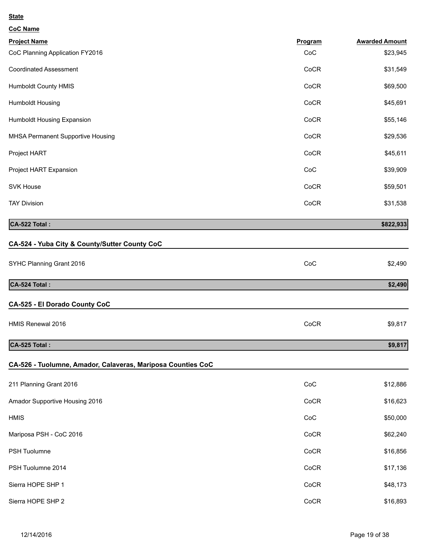| <b>CoC Name</b>                                             |         |                       |
|-------------------------------------------------------------|---------|-----------------------|
| <b>Project Name</b>                                         | Program | <b>Awarded Amount</b> |
| CoC Planning Application FY2016                             | CoC     | \$23,945              |
| <b>Coordinated Assessment</b>                               | CoCR    | \$31,549              |
| Humboldt County HMIS                                        | CoCR    | \$69,500              |
| Humboldt Housing                                            | CoCR    | \$45,691              |
| Humboldt Housing Expansion                                  | CoCR    | \$55,146              |
| MHSA Permanent Supportive Housing                           | CoCR    | \$29,536              |
| Project HART                                                | CoCR    | \$45,611              |
| Project HART Expansion                                      | CoC     | \$39,909              |
| <b>SVK House</b>                                            | CoCR    | \$59,501              |
| <b>TAY Division</b>                                         | CoCR    | \$31,538              |
| CA-522 Total:                                               |         | \$822,933             |
| CA-524 - Yuba City & County/Sutter County CoC               |         |                       |
| SYHC Planning Grant 2016                                    | CoC     | \$2,490               |
| CA-524 Total:                                               |         | \$2,490               |
| CA-525 - El Dorado County CoC                               |         |                       |
| HMIS Renewal 2016                                           | CoCR    | \$9,817               |
| CA-525 Total:                                               |         | \$9,817               |
| CA-526 - Tuolumne, Amador, Calaveras, Mariposa Counties CoC |         |                       |
| 211 Planning Grant 2016                                     | CoC     | \$12,886              |
| Amador Supportive Housing 2016                              | CoCR    | \$16,623              |
| <b>HMIS</b>                                                 | CoC     | \$50,000              |
| Mariposa PSH - CoC 2016                                     | CoCR    | \$62,240              |
| PSH Tuolumne                                                | CoCR    | \$16,856              |
| PSH Tuolumne 2014                                           | CoCR    | \$17,136              |
| Sierra HOPE SHP 1                                           | CoCR    | \$48,173              |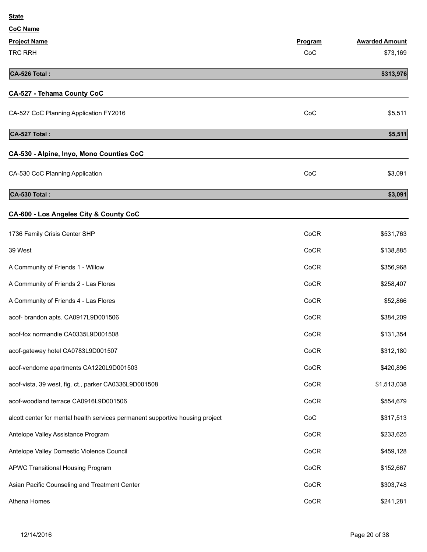| <b>CoC Name</b>                                                               |         |                       |
|-------------------------------------------------------------------------------|---------|-----------------------|
| <b>Project Name</b>                                                           | Program | <b>Awarded Amount</b> |
| TRC RRH                                                                       | CoC     | \$73,169              |
| CA-526 Total:                                                                 |         | \$313,976             |
| <b>CA-527 - Tehama County CoC</b>                                             |         |                       |
| CA-527 CoC Planning Application FY2016                                        | CoC     | \$5,511               |
| CA-527 Total:                                                                 |         | \$5,511               |
| CA-530 - Alpine, Inyo, Mono Counties CoC                                      |         |                       |
| CA-530 CoC Planning Application                                               | CoC     | \$3,091               |
| CA-530 Total:                                                                 |         | \$3,091               |
| CA-600 - Los Angeles City & County CoC                                        |         |                       |
| 1736 Family Crisis Center SHP                                                 | CoCR    | \$531,763             |
| 39 West                                                                       | CoCR    | \$138,885             |
| A Community of Friends 1 - Willow                                             | CoCR    | \$356,968             |
| A Community of Friends 2 - Las Flores                                         | CoCR    | \$258,407             |
| A Community of Friends 4 - Las Flores                                         | CoCR    | \$52,866              |
| acof- brandon apts. CA0917L9D001506                                           | CoCR    | \$384,209             |
| acof-fox normandie CA0335L9D001508                                            | CoCR    | \$131,354             |
| acof-gateway hotel CA0783L9D001507                                            | CoCR    | \$312,180             |
| acof-vendome apartments CA1220L9D001503                                       | CoCR    | \$420,896             |
| acof-vista, 39 west, fig. ct., parker CA0336L9D001508                         | CoCR    | \$1,513,038           |
| acof-woodland terrace CA0916L9D001506                                         | CoCR    | \$554,679             |
| alcott center for mental health services permanent supportive housing project | CoC     | \$317,513             |
| Antelope Valley Assistance Program                                            | CoCR    | \$233,625             |
| Antelope Valley Domestic Violence Council                                     | CoCR    | \$459,128             |
| APWC Transitional Housing Program                                             | CoCR    | \$152,667             |
| Asian Pacific Counseling and Treatment Center                                 | CoCR    | \$303,748             |
| Athena Homes                                                                  | CoCR    | \$241,281             |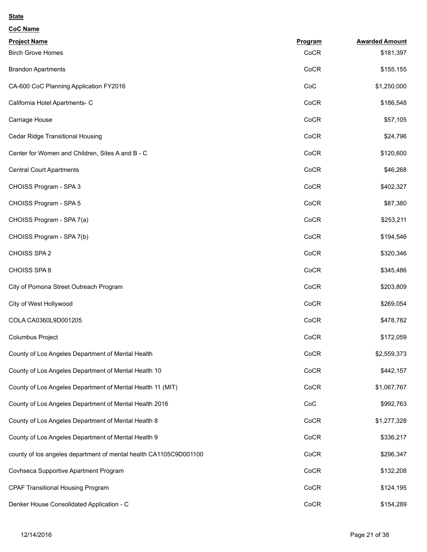| <b>CoC Name</b>                                                   |         |                       |
|-------------------------------------------------------------------|---------|-----------------------|
| <b>Project Name</b>                                               | Program | <b>Awarded Amount</b> |
| <b>Birch Grove Homes</b>                                          | CoCR    | \$181,397             |
| <b>Brandon Apartments</b>                                         | CoCR    | \$155,155             |
| CA-600 CoC Planning Application FY2016                            | CoC     | \$1,250,000           |
| California Hotel Apartments- C                                    | CoCR    | \$186,548             |
| Carriage House                                                    | CoCR    | \$57,105              |
| Cedar Ridge Transitional Housing                                  | CoCR    | \$24,796              |
| Center for Women and Children, Sites A and B - C                  | CoCR    | \$120,600             |
| <b>Central Court Apartments</b>                                   | CoCR    | \$46,268              |
| CHOISS Program - SPA 3                                            | CoCR    | \$402,327             |
| CHOISS Program - SPA 5                                            | CoCR    | \$87,380              |
| CHOISS Program - SPA 7(a)                                         | CoCR    | \$253,211             |
| CHOISS Program - SPA 7(b)                                         | CoCR    | \$194,546             |
| CHOISS SPA 2                                                      | CoCR    | \$320,346             |
| CHOISS SPA 8                                                      | CoCR    | \$345,486             |
| City of Pomona Street Outreach Program                            | CoCR    | \$203,809             |
| City of West Hollywood                                            | CoCR    | \$269,054             |
| COLA CA0360L9D001205                                              | CoCR    | \$478,782             |
| Columbus Project                                                  | CoCR    | \$172,059             |
| County of Los Angeles Department of Mental Health                 | CoCR    | \$2,559,373           |
| County of Los Angeles Department of Mental Health 10              | CoCR    | \$442,157             |
| County of Los Angeles Department of Mental Health 11 (MIT)        | CoCR    | \$1,067,767           |
| County of Los Angeles Department of Mental Health 2016            | CoC     | \$992,763             |
| County of Los Angeles Department of Mental Health 8               | CoCR    | \$1,277,328           |
| County of Los Angeles Department of Mental Health 9               | CoCR    | \$336,217             |
| county of los angeles department of mental health CA1105C9D001100 | CoCR    | \$296,347             |
| Covhseca Supportive Apartment Program                             | CoCR    | \$132,208             |
| <b>CPAF Transitional Housing Program</b>                          | CoCR    | \$124,195             |
| Denker House Consolidated Application - C                         | CoCR    | \$154,289             |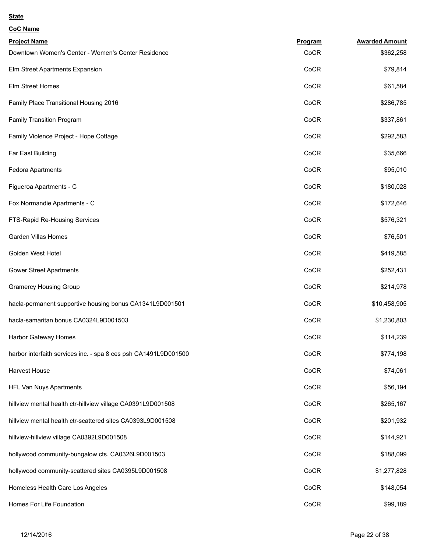| <b>CoC Name</b>                                                 |         |                       |
|-----------------------------------------------------------------|---------|-----------------------|
| <b>Project Name</b>                                             | Program | <b>Awarded Amount</b> |
| Downtown Women's Center - Women's Center Residence              | CoCR    | \$362,258             |
| Elm Street Apartments Expansion                                 | CoCR    | \$79,814              |
| Elm Street Homes                                                | CoCR    | \$61,584              |
| Family Place Transitional Housing 2016                          | CoCR    | \$286,785             |
| Family Transition Program                                       | CoCR    | \$337,861             |
| Family Violence Project - Hope Cottage                          | CoCR    | \$292,583             |
| Far East Building                                               | CoCR    | \$35,666              |
| <b>Fedora Apartments</b>                                        | CoCR    | \$95,010              |
| Figueroa Apartments - C                                         | CoCR    | \$180,028             |
| Fox Normandie Apartments - C                                    | CoCR    | \$172,646             |
| FTS-Rapid Re-Housing Services                                   | CoCR    | \$576,321             |
| <b>Garden Villas Homes</b>                                      | CoCR    | \$76,501              |
| Golden West Hotel                                               | CoCR    | \$419,585             |
| <b>Gower Street Apartments</b>                                  | CoCR    | \$252,431             |
| <b>Gramercy Housing Group</b>                                   | CoCR    | \$214,978             |
| hacla-permanent supportive housing bonus CA1341L9D001501        | CoCR    | \$10,458,905          |
| hacla-samaritan bonus CA0324L9D001503                           | CoCR    | \$1,230,803           |
| Harbor Gateway Homes                                            | CoCR    | \$114,239             |
| harbor interfaith services inc. - spa 8 ces psh CA1491L9D001500 | CoCR    | \$774,198             |
| Harvest House                                                   | CoCR    | \$74,061              |
| HFL Van Nuys Apartments                                         | CoCR    | \$56,194              |
| hillview mental health ctr-hillview village CA0391L9D001508     | CoCR    | \$265,167             |
| hillview mental health ctr-scattered sites CA0393L9D001508      | CoCR    | \$201,932             |
| hillview-hillview village CA0392L9D001508                       | CoCR    | \$144,921             |
| hollywood community-bungalow cts. CA0326L9D001503               | CoCR    | \$188,099             |
| hollywood community-scattered sites CA0395L9D001508             | CoCR    | \$1,277,828           |
| Homeless Health Care Los Angeles                                | CoCR    | \$148,054             |
| Homes For Life Foundation                                       | CoCR    | \$99,189              |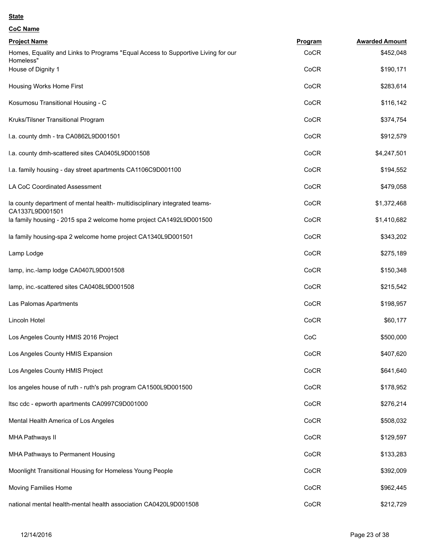| CoC Name |  |
|----------|--|
|          |  |

| <b>Project Name</b>                                                                           | Program | <b>Awarded Amount</b> |
|-----------------------------------------------------------------------------------------------|---------|-----------------------|
| Homes, Equality and Links to Programs "Equal Access to Supportive Living for our              | CoCR    | \$452,048             |
| Homeless"<br>House of Dignity 1                                                               | CoCR    | \$190,171             |
| Housing Works Home First                                                                      | CoCR    | \$283,614             |
| Kosumosu Transitional Housing - C                                                             | CoCR    | \$116,142             |
| Kruks/Tilsner Transitional Program                                                            | CoCR    | \$374,754             |
| I.a. county dmh - tra CA0862L9D001501                                                         | CoCR    | \$912,579             |
| I.a. county dmh-scattered sites CA0405L9D001508                                               | CoCR    | \$4,247,501           |
| I.a. family housing - day street apartments CA1106C9D001100                                   | CoCR    | \$194,552             |
| LA CoC Coordinated Assessment                                                                 | CoCR    | \$479,058             |
| la county department of mental health- multidisciplinary integrated teams-<br>CA1337L9D001501 | CoCR    | \$1,372,468           |
| la family housing - 2015 spa 2 welcome home project CA1492L9D001500                           | CoCR    | \$1,410,682           |
| la family housing-spa 2 welcome home project CA1340L9D001501                                  | CoCR    | \$343,202             |
| Lamp Lodge                                                                                    | CoCR    | \$275,189             |
| lamp, inc.-lamp lodge CA0407L9D001508                                                         | CoCR    | \$150,348             |
| lamp, inc.-scattered sites CA0408L9D001508                                                    | CoCR    | \$215,542             |
| Las Palomas Apartments                                                                        | CoCR    | \$198,957             |
| Lincoln Hotel                                                                                 | CoCR    | \$60,177              |
| Los Angeles County HMIS 2016 Project                                                          | CoC     | \$500,000             |
| Los Angeles County HMIS Expansion                                                             | CoCR    | \$407,620             |
| Los Angeles County HMIS Project                                                               | CoCR    | \$641,640             |
| los angeles house of ruth - ruth's psh program CA1500L9D001500                                | CoCR    | \$178,952             |
| Itsc cdc - epworth apartments CA0997C9D001000                                                 | CoCR    | \$276,214             |
| Mental Health America of Los Angeles                                                          | CoCR    | \$508,032             |
| <b>MHA Pathways II</b>                                                                        | CoCR    | \$129,597             |
| MHA Pathways to Permanent Housing                                                             | CoCR    | \$133,283             |
| Moonlight Transitional Housing for Homeless Young People                                      | CoCR    | \$392,009             |
| Moving Families Home                                                                          | CoCR    | \$962,445             |
| national mental health-mental health association CA0420L9D001508                              | CoCR    | \$212,729             |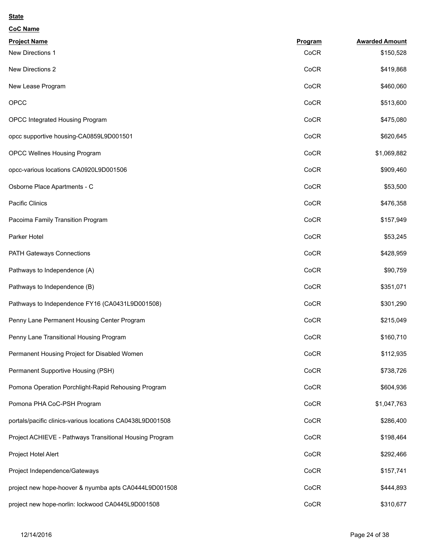| <b>CoC Name</b>                                           |         |                       |
|-----------------------------------------------------------|---------|-----------------------|
| <b>Project Name</b>                                       | Program | <b>Awarded Amount</b> |
| New Directions 1                                          | CoCR    | \$150,528             |
| New Directions 2                                          | CoCR    | \$419,868             |
| New Lease Program                                         | CoCR    | \$460,060             |
| OPCC                                                      | CoCR    | \$513,600             |
| OPCC Integrated Housing Program                           | CoCR    | \$475,080             |
| opcc supportive housing-CA0859L9D001501                   | CoCR    | \$620,645             |
| OPCC Wellnes Housing Program                              | CoCR    | \$1,069,882           |
| opcc-various locations CA0920L9D001506                    | CoCR    | \$909,460             |
| Osborne Place Apartments - C                              | CoCR    | \$53,500              |
| Pacific Clinics                                           | CoCR    | \$476,358             |
| Pacoima Family Transition Program                         | CoCR    | \$157,949             |
| Parker Hotel                                              | CoCR    | \$53,245              |
| PATH Gateways Connections                                 | CoCR    | \$428,959             |
| Pathways to Independence (A)                              | CoCR    | \$90,759              |
| Pathways to Independence (B)                              | CoCR    | \$351,071             |
| Pathways to Independence FY16 (CA0431L9D001508)           | CoCR    | \$301,290             |
| Penny Lane Permanent Housing Center Program               | CoCR    | \$215,049             |
| Penny Lane Transitional Housing Program                   | CoCR    | \$160,710             |
| Permanent Housing Project for Disabled Women              | CoCR    | \$112,935             |
| Permanent Supportive Housing (PSH)                        | CoCR    | \$738,726             |
| Pomona Operation Porchlight-Rapid Rehousing Program       | CoCR    | \$604,936             |
| Pomona PHA CoC-PSH Program                                | CoCR    | \$1,047,763           |
| portals/pacific clinics-various locations CA0438L9D001508 | CoCR    | \$286,400             |
| Project ACHIEVE - Pathways Transitional Housing Program   | CoCR    | \$198,464             |
| Project Hotel Alert                                       | CoCR    | \$292,466             |
| Project Independence/Gateways                             | CoCR    | \$157,741             |
| project new hope-hoover & nyumba apts CA0444L9D001508     | CoCR    | \$444,893             |
| project new hope-norlin: lockwood CA0445L9D001508         | CoCR    | \$310,677             |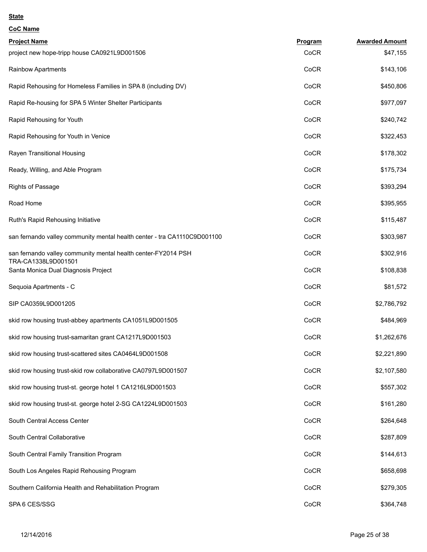| <b>CoC Name</b>                                                                      |         |                       |
|--------------------------------------------------------------------------------------|---------|-----------------------|
| <b>Project Name</b>                                                                  | Program | <b>Awarded Amount</b> |
| project new hope-tripp house CA0921L9D001506                                         | CoCR    | \$47,155              |
| Rainbow Apartments                                                                   | CoCR    | \$143,106             |
| Rapid Rehousing for Homeless Families in SPA 8 (including DV)                        | CoCR    | \$450,806             |
| Rapid Re-housing for SPA 5 Winter Shelter Participants                               | CoCR    | \$977,097             |
| Rapid Rehousing for Youth                                                            | CoCR    | \$240,742             |
| Rapid Rehousing for Youth in Venice                                                  | CoCR    | \$322,453             |
| Rayen Transitional Housing                                                           | CoCR    | \$178,302             |
| Ready, Willing, and Able Program                                                     | CoCR    | \$175,734             |
| <b>Rights of Passage</b>                                                             | CoCR    | \$393,294             |
| Road Home                                                                            | CoCR    | \$395,955             |
| Ruth's Rapid Rehousing Initiative                                                    | CoCR    | \$115,487             |
| san fernando valley community mental health center - tra CA1110C9D001100             | CoCR    | \$303,987             |
| san fernando valley community mental health center-FY2014 PSH<br>TRA-CA1338L9D001501 | CoCR    | \$302,916             |
| Santa Monica Dual Diagnosis Project                                                  | CoCR    | \$108,838             |
| Sequoia Apartments - C                                                               | CoCR    | \$81,572              |
| SIP CA0359L9D001205                                                                  | CoCR    | \$2,786,792           |
| skid row housing trust-abbey apartments CA1051L9D001505                              | CoCR    | \$484,969             |
| skid row housing trust-samaritan grant CA1217L9D001503                               | CoCR    | \$1,262,676           |
| skid row housing trust-scattered sites CA0464L9D001508                               | CoCR    | \$2,221,890           |
| skid row housing trust-skid row collaborative CA0797L9D001507                        | CoCR    | \$2,107,580           |
| skid row housing trust-st. george hotel 1 CA1216L9D001503                            | CoCR    | \$557,302             |
| skid row housing trust-st. george hotel 2-SG CA1224L9D001503                         | CoCR    | \$161,280             |
| South Central Access Center                                                          | CoCR    | \$264,648             |
| South Central Collaborative                                                          | CoCR    | \$287,809             |
| South Central Family Transition Program                                              | CoCR    | \$144,613             |
| South Los Angeles Rapid Rehousing Program                                            | CoCR    | \$658,698             |
| Southern California Health and Rehabilitation Program                                | CoCR    | \$279,305             |
| SPA 6 CES/SSG                                                                        | CoCR    | \$364,748             |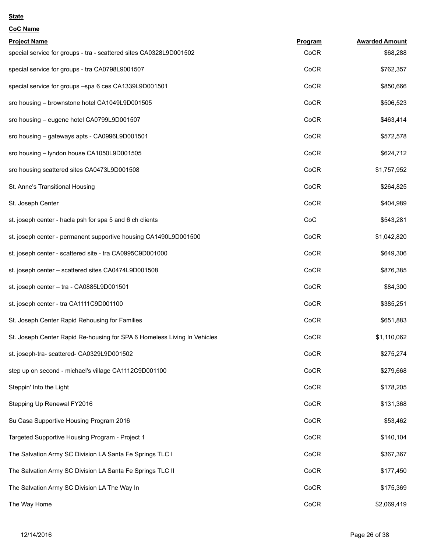| <b>CoC Name</b>                                                          |         |                       |
|--------------------------------------------------------------------------|---------|-----------------------|
| <b>Project Name</b>                                                      | Program | <b>Awarded Amount</b> |
| special service for groups - tra - scattered sites CA0328L9D001502       | CoCR    | \$68,288              |
| special service for groups - tra CA0798L9001507                          | CoCR    | \$762,357             |
| special service for groups -spa 6 ces CA1339L9D001501                    | CoCR    | \$850,666             |
| sro housing - brownstone hotel CA1049L9D001505                           | CoCR    | \$506,523             |
| sro housing - eugene hotel CA0799L9D001507                               | CoCR    | \$463,414             |
| sro housing – gateways apts - CA0996L9D001501                            | CoCR    | \$572,578             |
| sro housing - lyndon house CA1050L9D001505                               | CoCR    | \$624,712             |
| sro housing scattered sites CA0473L9D001508                              | CoCR    | \$1,757,952           |
| St. Anne's Transitional Housing                                          | CoCR    | \$264,825             |
| St. Joseph Center                                                        | CoCR    | \$404,989             |
| st. joseph center - hacla psh for spa 5 and 6 ch clients                 | CoC     | \$543,281             |
| st. joseph center - permanent supportive housing CA1490L9D001500         | CoCR    | \$1,042,820           |
| st. joseph center - scattered site - tra CA0995C9D001000                 | CoCR    | \$649,306             |
| st. joseph center - scattered sites CA0474L9D001508                      | CoCR    | \$876,385             |
| st. joseph center - tra - CA0885L9D001501                                | CoCR    | \$84,300              |
| st. joseph center - tra CA1111C9D001100                                  | CoCR    | \$385,251             |
| St. Joseph Center Rapid Rehousing for Families                           | CoCR    | \$651,883             |
| St. Joseph Center Rapid Re-housing for SPA 6 Homeless Living In Vehicles | CoCR    | \$1,110,062           |
| st. joseph-tra- scattered- CA0329L9D001502                               | CoCR    | \$275,274             |
| step up on second - michael's village CA1112C9D001100                    | CoCR    | \$279,668             |
| Steppin' Into the Light                                                  | CoCR    | \$178,205             |
| Stepping Up Renewal FY2016                                               | CoCR    | \$131,368             |
| Su Casa Supportive Housing Program 2016                                  | CoCR    | \$53,462              |
| Targeted Supportive Housing Program - Project 1                          | CoCR    | \$140,104             |
| The Salvation Army SC Division LA Santa Fe Springs TLC I                 | CoCR    | \$367,367             |
| The Salvation Army SC Division LA Santa Fe Springs TLC II                | CoCR    | \$177,450             |
| The Salvation Army SC Division LA The Way In                             | CoCR    | \$175,369             |
| The Way Home                                                             | CoCR    | \$2,069,419           |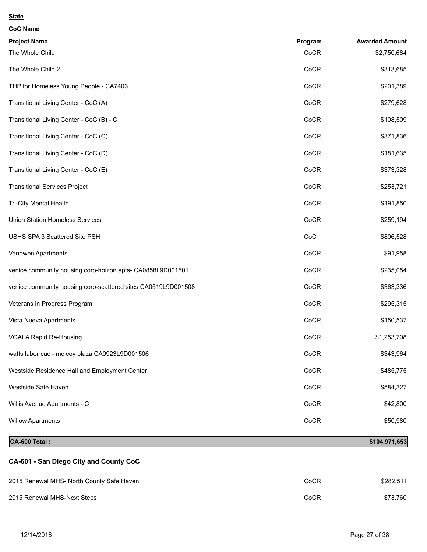| Program | <b>Awarded Amount</b> |
|---------|-----------------------|
| CoCR    | \$2,750,684           |
| CoCR    | \$313,685             |
| CoCR    | \$201,389             |
| CoCR    | \$279,628             |
| CoCR    | \$108,509             |
| CoCR    | \$371,836             |
| CoCR    | \$181,635             |
| CoCR    | \$373,328             |
| CoCR    | \$253,721             |
| CoCR    | \$191,850             |
| CoCR    | \$259,194             |
| CoC     | \$806,528             |
| CoCR    | \$91,958              |
| CoCR    | \$235,054             |
| CoCR    | \$363,336             |
| CoCR    | \$295,315             |
| CoCR    | \$150,537             |
| CoCR    | \$1,253,708           |
| CoCR    | \$343,964             |
| CoCR    | \$485,775             |
| CoCR    | \$584,327             |
| CoCR    | \$42,800              |
| CoCR    | \$50,980              |
|         |                       |

# **CA-600 Total : \$104,971,653**

# **CA-601 - San Diego City and County CoC**

| 2015 Renewal MHS- North County Safe Haven | CoCR | \$282.511 |
|-------------------------------------------|------|-----------|
| 2015 Renewal MHS-Next Steps               | CoCR | \$73.760  |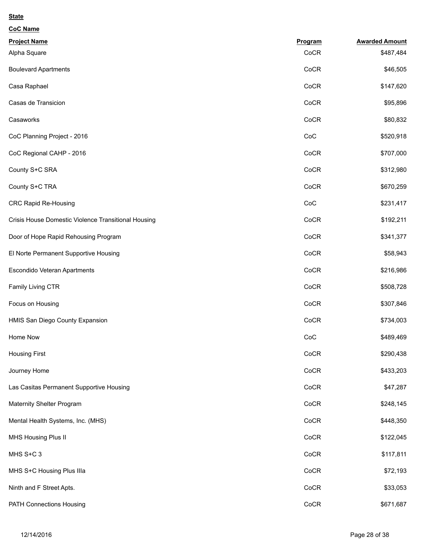| <b>CoC Name</b>                                     |         |                       |
|-----------------------------------------------------|---------|-----------------------|
| <b>Project Name</b>                                 | Program | <b>Awarded Amount</b> |
| Alpha Square                                        | CoCR    | \$487,484             |
| <b>Boulevard Apartments</b>                         | CoCR    | \$46,505              |
| Casa Raphael                                        | CoCR    | \$147,620             |
| Casas de Transicion                                 | CoCR    | \$95,896              |
| Casaworks                                           | CoCR    | \$80,832              |
| CoC Planning Project - 2016                         | CoC     | \$520,918             |
| CoC Regional CAHP - 2016                            | CoCR    | \$707,000             |
| County S+C SRA                                      | CoCR    | \$312,980             |
| County S+C TRA                                      | CoCR    | \$670,259             |
| <b>CRC Rapid Re-Housing</b>                         | CoC     | \$231,417             |
| Crisis House Domestic Violence Transitional Housing | CoCR    | \$192,211             |
| Door of Hope Rapid Rehousing Program                | CoCR    | \$341,377             |
| El Norte Permanent Supportive Housing               | CoCR    | \$58,943              |
| Escondido Veteran Apartments                        | CoCR    | \$216,986             |
| Family Living CTR                                   | CoCR    | \$508,728             |
| Focus on Housing                                    | CoCR    | \$307,846             |
| HMIS San Diego County Expansion                     | CoCR    | \$734,003             |
| Home Now                                            | CoC     | \$489,469             |
| <b>Housing First</b>                                | CoCR    | \$290,438             |
| Journey Home                                        | CoCR    | \$433,203             |
| Las Casitas Permanent Supportive Housing            | CoCR    | \$47,287              |
| Maternity Shelter Program                           | CoCR    | \$248,145             |
| Mental Health Systems, Inc. (MHS)                   | CoCR    | \$448,350             |
| MHS Housing Plus II                                 | CoCR    | \$122,045             |
| MHS S+C 3                                           | CoCR    | \$117,811             |
| MHS S+C Housing Plus IIIa                           | CoCR    | \$72,193              |
| Ninth and F Street Apts.                            | CoCR    | \$33,053              |
| PATH Connections Housing                            | CoCR    | \$671,687             |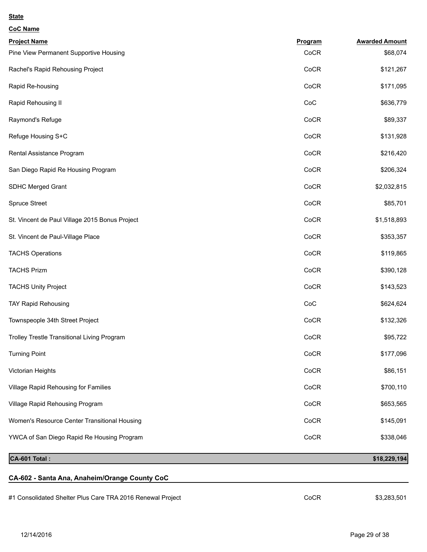| <b>CoC Name</b>                                            |         |                       |
|------------------------------------------------------------|---------|-----------------------|
| <b>Project Name</b>                                        | Program | <b>Awarded Amount</b> |
| Pine View Permanent Supportive Housing                     | CoCR    | \$68,074              |
| Rachel's Rapid Rehousing Project                           | CoCR    | \$121,267             |
| Rapid Re-housing                                           | CoCR    | \$171,095             |
| Rapid Rehousing II                                         | CoC     | \$636,779             |
| Raymond's Refuge                                           | CoCR    | \$89,337              |
| Refuge Housing S+C                                         | CoCR    | \$131,928             |
| Rental Assistance Program                                  | CoCR    | \$216,420             |
| San Diego Rapid Re Housing Program                         | CoCR    | \$206,324             |
| SDHC Merged Grant                                          | CoCR    | \$2,032,815           |
| <b>Spruce Street</b>                                       | CoCR    | \$85,701              |
| St. Vincent de Paul Village 2015 Bonus Project             | CoCR    | \$1,518,893           |
| St. Vincent de Paul-Village Place                          | CoCR    | \$353,357             |
| <b>TACHS Operations</b>                                    | CoCR    | \$119,865             |
| <b>TACHS Prizm</b>                                         | CoCR    | \$390,128             |
| <b>TACHS Unity Project</b>                                 | CoCR    | \$143,523             |
| <b>TAY Rapid Rehousing</b>                                 | CoC     | \$624,624             |
| Townspeople 34th Street Project                            | CoCR    | \$132,326             |
| Trolley Trestle Transitional Living Program                | CoCR    | \$95,722              |
| <b>Turning Point</b>                                       | CoCR    | \$177,096             |
| Victorian Heights                                          | CoCR    | \$86,151              |
| Village Rapid Rehousing for Families                       | CoCR    | \$700,110             |
| Village Rapid Rehousing Program                            | CoCR    | \$653,565             |
| Women's Resource Center Transitional Housing               | CoCR    | \$145,091             |
| YWCA of San Diego Rapid Re Housing Program                 | CoCR    | \$338,046             |
| CA-601 Total:                                              |         | \$18,229,194          |
| CA-602 - Santa Ana, Anaheim/Orange County CoC              |         |                       |
| #1 Consolidated Shelter Plus Care TRA 2016 Renewal Project | CoCR    | \$3,283,501           |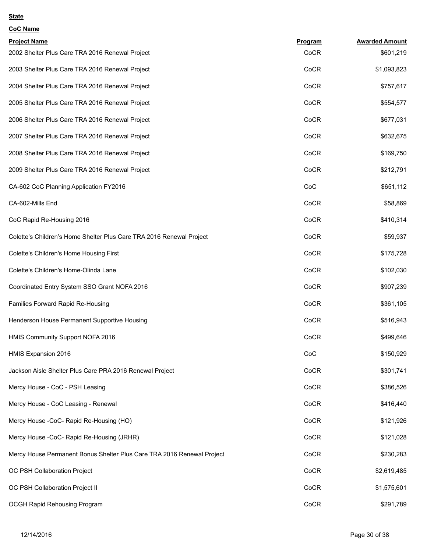| CoC Name |
|----------|
|          |

| <b>Project Name</b>                                                    | Program | <b>Awarded Amount</b> |
|------------------------------------------------------------------------|---------|-----------------------|
| 2002 Shelter Plus Care TRA 2016 Renewal Project                        | CoCR    | \$601,219             |
| 2003 Shelter Plus Care TRA 2016 Renewal Project                        | CoCR    | \$1,093,823           |
| 2004 Shelter Plus Care TRA 2016 Renewal Project                        | CoCR    | \$757,617             |
| 2005 Shelter Plus Care TRA 2016 Renewal Project                        | CoCR    | \$554,577             |
| 2006 Shelter Plus Care TRA 2016 Renewal Project                        | CoCR    | \$677,031             |
| 2007 Shelter Plus Care TRA 2016 Renewal Project                        | CoCR    | \$632,675             |
| 2008 Shelter Plus Care TRA 2016 Renewal Project                        | CoCR    | \$169,750             |
| 2009 Shelter Plus Care TRA 2016 Renewal Project                        | CoCR    | \$212,791             |
| CA-602 CoC Planning Application FY2016                                 | CoC     | \$651,112             |
| CA-602-Mills End                                                       | CoCR    | \$58,869              |
| CoC Rapid Re-Housing 2016                                              | CoCR    | \$410,314             |
| Colette's Children's Home Shelter Plus Care TRA 2016 Renewal Project   | CoCR    | \$59,937              |
| Colette's Children's Home Housing First                                | CoCR    | \$175,728             |
| Colette's Children's Home-Olinda Lane                                  | CoCR    | \$102,030             |
| Coordinated Entry System SSO Grant NOFA 2016                           | CoCR    | \$907,239             |
| Families Forward Rapid Re-Housing                                      | CoCR    | \$361,105             |
| Henderson House Permanent Supportive Housing                           | CoCR    | \$516,943             |
| HMIS Community Support NOFA 2016                                       | CoCR    | \$499,646             |
| HMIS Expansion 2016                                                    | CoC     | \$150,929             |
| Jackson Aisle Shelter Plus Care PRA 2016 Renewal Project               | CoCR    | \$301,741             |
| Mercy House - CoC - PSH Leasing                                        | CoCR    | \$386,526             |
| Mercy House - CoC Leasing - Renewal                                    | CoCR    | \$416,440             |
| Mercy House -CoC- Rapid Re-Housing (HO)                                | CoCR    | \$121,926             |
| Mercy House -CoC- Rapid Re-Housing (JRHR)                              | CoCR    | \$121,028             |
| Mercy House Permanent Bonus Shelter Plus Care TRA 2016 Renewal Project | CoCR    | \$230,283             |
| OC PSH Collaboration Project                                           | CoCR    | \$2,619,485           |
| OC PSH Collaboration Project II                                        | CoCR    | \$1,575,601           |
| OCGH Rapid Rehousing Program                                           | CoCR    | \$291,789             |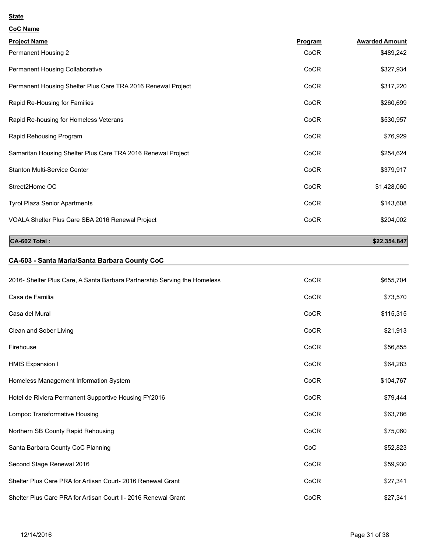| <b>CoC Name</b>                                              |                |                       |
|--------------------------------------------------------------|----------------|-----------------------|
| <b>Project Name</b>                                          | <b>Program</b> | <b>Awarded Amount</b> |
| Permanent Housing 2                                          | CoCR           | \$489,242             |
| Permanent Housing Collaborative                              | CoCR           | \$327,934             |
| Permanent Housing Shelter Plus Care TRA 2016 Renewal Project | CoCR           | \$317,220             |
| Rapid Re-Housing for Families                                | CoCR           | \$260,699             |
| Rapid Re-housing for Homeless Veterans                       | CoCR           | \$530,957             |
| Rapid Rehousing Program                                      | CoCR           | \$76,929              |
| Samaritan Housing Shelter Plus Care TRA 2016 Renewal Project | CoCR           | \$254,624             |
| <b>Stanton Multi-Service Center</b>                          | CoCR           | \$379,917             |
| Street2Home OC                                               | CoCR           | \$1,428,060           |
| <b>Tyrol Plaza Senior Apartments</b>                         | CoCR           | \$143,608             |
| VOALA Shelter Plus Care SBA 2016 Renewal Project             | CoCR           | \$204,002             |
|                                                              |                |                       |

**CA-602 Total :** \$22,354,847

# **CA-603 - Santa Maria/Santa Barbara County CoC**

| 2016- Shelter Plus Care, A Santa Barbara Partnership Serving the Homeless | CoCR | \$655,704 |
|---------------------------------------------------------------------------|------|-----------|
| Casa de Familia                                                           | CoCR | \$73,570  |
| Casa del Mural                                                            | CoCR | \$115,315 |
| Clean and Sober Living                                                    | CoCR | \$21,913  |
| Firehouse                                                                 | CoCR | \$56,855  |
| HMIS Expansion I                                                          | CoCR | \$64,283  |
| Homeless Management Information System                                    | CoCR | \$104,767 |
| Hotel de Riviera Permanent Supportive Housing FY2016                      | CoCR | \$79,444  |
| Lompoc Transformative Housing                                             | CoCR | \$63,786  |
| Northern SB County Rapid Rehousing                                        | CoCR | \$75,060  |
| Santa Barbara County CoC Planning                                         | CoC  | \$52,823  |
| Second Stage Renewal 2016                                                 | CoCR | \$59,930  |
| Shelter Plus Care PRA for Artisan Court-2016 Renewal Grant                | CoCR | \$27,341  |
| Shelter Plus Care PRA for Artisan Court II- 2016 Renewal Grant            | CoCR | \$27,341  |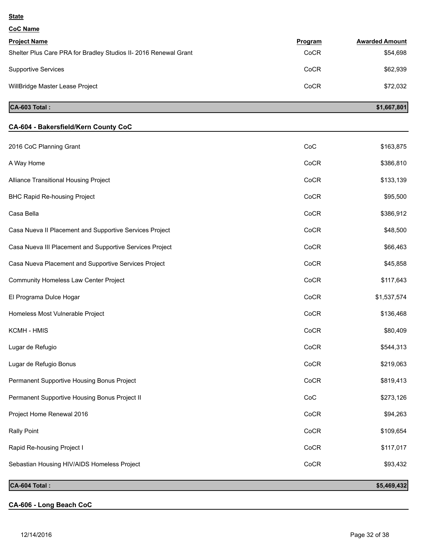#### **CoC Name**

| <b>Project Name</b>                                              | Program | <b>Awarded Amount</b> |
|------------------------------------------------------------------|---------|-----------------------|
| Shelter Plus Care PRA for Bradley Studios II- 2016 Renewal Grant | CoCR    | \$54,698              |
| <b>Supportive Services</b>                                       | CoCR    | \$62,939              |
| WillBridge Master Lease Project                                  | CoCR    | \$72.032              |

## **CA-603 Total :** \$1,667,801

# **CA-604 - Bakersfield/Kern County CoC** 2016 CoC Planning Grant Street Street Street Street Street Street Street Street Street Street Street Street Street Street Street Street Street Street Street Street Street Street Street Street Street Street Street Street St A Way Home CoCR \$386,810 Alliance Transitional Housing Project **Cock and Structure Cock and Structure Cock Cock** \$133,139 BHC Rapid Re-housing Project **Cock and Secure 2018** Security Project and Security Project **Cock and Secure 2019** Casa Bella CoCR \$386,912 Casa Nueva II Placement and Supportive Services Project Cock CoCR 648,500 Casa Nueva III Placement and Supportive Services Project **Cock Access 2006** CoCR \$66,463 Casa Nueva Placement and Supportive Services Project Cock CoCR CoCR \$45,858 Community Homeless Law Center Project **Community Homeless Law Center Project** CoCR \$117,643 El Programa Dulce Hogar CoCR \$1,537,574 Homeless Most Vulnerable Project CoCR \$136,468 KCMH - HMIS CoCR \$80,409 Lugar de Refugio CoCR \$544,313 Lugar de Refugio Bonus CoCR \$219,063 Permanent Supportive Housing Bonus Project **Cock Accord Cock Accord Cock Accord Cock** \$819,413 Permanent Supportive Housing Bonus Project II Coches and Sample States and States and States and S273,126 Project Home Renewal 2016 **Cock Accord 1994,263** Cock **Cock 394,263** Rally Point CoCR \$109,654 Rapid Re-housing Project I Cock and the settlement of the settlement of the cock of the settlement of the settlement of the settlement of the settlement of the settlement of the settlement of the settlement of the settleme Sebastian Housing HIV/AIDS Homeless Project Cock and the Cock of Cock to the Cock the S93,432 **CA-604 Total : \$5,469,432**

## **CA-606 - Long Beach CoC**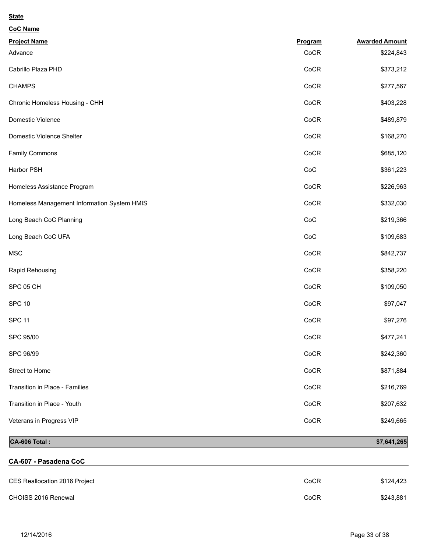| Program | <b>Awarded Amount</b> |
|---------|-----------------------|
| CoCR    | \$224,843             |
| CoCR    | \$373,212             |
| CoCR    | \$277,567             |
| CoCR    | \$403,228             |
| CoCR    | \$489,879             |
| CoCR    | \$168,270             |
| CoCR    | \$685,120             |
| CoC     | \$361,223             |
| CoCR    | \$226,963             |
| CoCR    | \$332,030             |
| CoC     | \$219,366             |
| CoC     | \$109,683             |
| CoCR    | \$842,737             |
| CoCR    | \$358,220             |
| CoCR    | \$109,050             |
| CoCR    | \$97,047              |
| CoCR    | \$97,276              |
| CoCR    | \$477,241             |
| CoCR    | \$242,360             |
| CoCR    | \$871,884             |
| CoCR    | \$216,769             |
| CoCR    | \$207,632             |
| CoCR    | \$249,665             |
|         |                       |

# **CA-606 Total :**

| \$7,641,265 |  |
|-------------|--|
|             |  |

# **CA-607 - Pasadena CoC**

| CES Reallocation 2016 Project | CoCR | \$124.423 |
|-------------------------------|------|-----------|
| CHOISS 2016 Renewal           | CoCR | \$243.881 |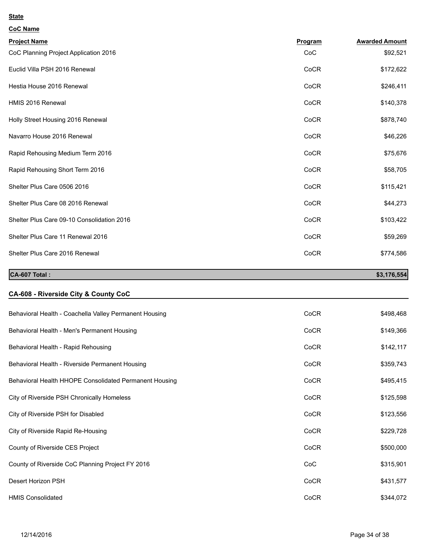| oС. | ♪ Name |
|-----|--------|
|     |        |

| <b>Project Name</b>                                    | Program | <b>Awarded Amount</b> |
|--------------------------------------------------------|---------|-----------------------|
| CoC Planning Project Application 2016                  | CoC     | \$92,521              |
| Euclid Villa PSH 2016 Renewal                          | CoCR    | \$172,622             |
| Hestia House 2016 Renewal                              | CoCR    | \$246,411             |
| HMIS 2016 Renewal                                      | CoCR    | \$140,378             |
| Holly Street Housing 2016 Renewal                      | CoCR    | \$878,740             |
| Navarro House 2016 Renewal                             | CoCR    | \$46,226              |
| Rapid Rehousing Medium Term 2016                       | CoCR    | \$75,676              |
| Rapid Rehousing Short Term 2016                        | CoCR    | \$58,705              |
| Shelter Plus Care 0506 2016                            | CoCR    | \$115,421             |
| Shelter Plus Care 08 2016 Renewal                      | CoCR    | \$44,273              |
| Shelter Plus Care 09-10 Consolidation 2016             | CoCR    | \$103,422             |
| Shelter Plus Care 11 Renewal 2016                      | CoCR    | \$59,269              |
| Shelter Plus Care 2016 Renewal                         | CoCR    | \$774,586             |
|                                                        |         |                       |
| CA-607 Total:                                          |         | \$3,176,554           |
|                                                        |         |                       |
| CA-608 - Riverside City & County CoC                   |         |                       |
| Behavioral Health - Coachella Valley Permanent Housing | CoCR    | \$498,468             |
| Behavioral Health - Men's Permanent Housing            | CoCR    | \$149,366             |
| Behavioral Health - Rapid Rehousing                    | CoCR    | \$142,117             |
| Behavioral Health - Riverside Permanent Housing        | CoCR    | \$359,743             |
| Behavioral Health HHOPE Consolidated Permanent Housing | CoCR    | \$495,415             |
| City of Riverside PSH Chronically Homeless             | CoCR    | \$125,598             |
| City of Riverside PSH for Disabled                     | CoCR    | \$123,556             |
| City of Riverside Rapid Re-Housing                     | CoCR    | \$229,728             |
| County of Riverside CES Project                        | CoCR    | \$500,000             |
| County of Riverside CoC Planning Project FY 2016       | CoC     | \$315,901             |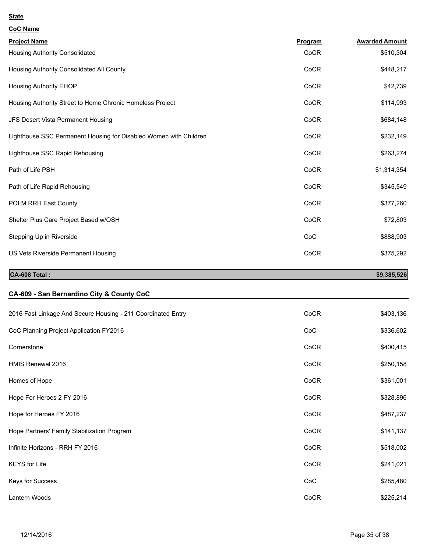| <b>CoC Name</b>                                                   |         |                       |
|-------------------------------------------------------------------|---------|-----------------------|
| <b>Project Name</b>                                               | Program | <b>Awarded Amount</b> |
| Housing Authority Consolidated                                    | CoCR    | \$510,304             |
| Housing Authority Consolidated All County                         | CoCR    | \$448,217             |
| <b>Housing Authority EHOP</b>                                     | CoCR    | \$42,739              |
| Housing Authority Street to Home Chronic Homeless Project         | CoCR    | \$114,993             |
| JFS Desert Vista Permanent Housing                                | CoCR    | \$684,148             |
| Lighthouse SSC Permanent Housing for Disabled Women with Children | CoCR    | \$232,149             |
| Lighthouse SSC Rapid Rehousing                                    | CoCR    | \$263,274             |
| Path of Life PSH                                                  | CoCR    | \$1,314,354           |
| Path of Life Rapid Rehousing                                      | CoCR    | \$345,549             |
| POLM RRH East County                                              | CoCR    | \$377,260             |
| Shelter Plus Care Project Based w/OSH                             | CoCR    | \$72,803              |
| Stepping Up in Riverside                                          | CoC     | \$888,903             |
| US Vets Riverside Permanent Housing                               | CoCR    | \$375,292             |
| CA-608 Total:                                                     |         | \$9,385,526           |
| CA-609 - San Bernardino City & County CoC                         |         |                       |
| 2016 Fast Linkage And Secure Housing - 211 Coordinated Entry      | CoCR    | \$403,136             |
| CoC Planning Project Application FY2016                           | CoC     | \$336,602             |
| Cornerstone                                                       | CoCR    | \$400,415             |
| HMIS Renewal 2016                                                 | CoCR    | \$250,158             |
| Homes of Hope                                                     | CoCR    | \$361,001             |
| Hope For Heroes 2 FY 2016                                         | CoCR    | \$328,896             |
| Hope for Heroes FY 2016                                           | CoCR    | \$487,237             |
| Hope Partners' Family Stabilization Program                       | CoCR    | \$141,137             |
| Infinite Horizons - RRH FY 2016                                   | CoCR    | \$518,002             |
| <b>KEYS</b> for Life                                              | CoCR    | \$241,021             |

Keys for Success \$285,480

Lantern Woods \$225,214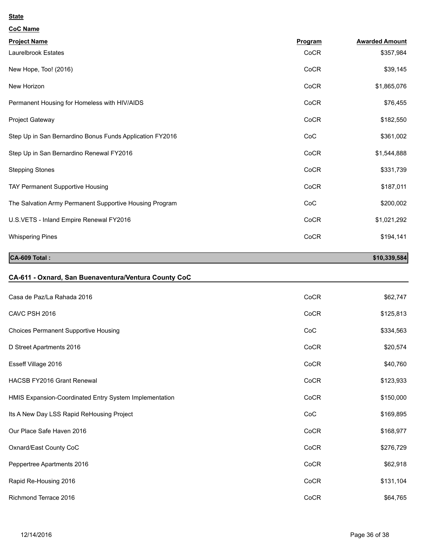| <b>CoC Name</b>                                          |         |                       |
|----------------------------------------------------------|---------|-----------------------|
| <b>Project Name</b>                                      | Program | <b>Awarded Amount</b> |
| Laurelbrook Estates                                      | CoCR    | \$357,984             |
| New Hope, Too! (2016)                                    | CoCR    | \$39,145              |
| New Horizon                                              | CoCR    | \$1,865,076           |
| Permanent Housing for Homeless with HIV/AIDS             | CoCR    | \$76,455              |
| Project Gateway                                          | CoCR    | \$182,550             |
| Step Up in San Bernardino Bonus Funds Application FY2016 | CoC     | \$361,002             |
| Step Up in San Bernardino Renewal FY2016                 | CoCR    | \$1,544,888           |
| <b>Stepping Stones</b>                                   | CoCR    | \$331,739             |
| TAY Permanent Supportive Housing                         | CoCR    | \$187,011             |
| The Salvation Army Permanent Supportive Housing Program  | CoC     | \$200,002             |
| U.S.VETS - Inland Empire Renewal FY2016                  | CoCR    | \$1,021,292           |
| <b>Whispering Pines</b>                                  | CoCR    | \$194,141             |
|                                                          |         |                       |

**CA-609 Total :** \$10,339,584

# **CA-611 - Oxnard, San Buenaventura/Ventura County CoC**

| Casa de Paz/La Rahada 2016                             | CoCR | \$62,747  |
|--------------------------------------------------------|------|-----------|
| CAVC PSH 2016                                          | CoCR | \$125,813 |
| <b>Choices Permanent Supportive Housing</b>            | CoC  | \$334,563 |
| D Street Apartments 2016                               | CoCR | \$20,574  |
| Esseff Village 2016                                    | CoCR | \$40,760  |
| HACSB FY2016 Grant Renewal                             | CoCR | \$123,933 |
| HMIS Expansion-Coordinated Entry System Implementation | CoCR | \$150,000 |
| Its A New Day LSS Rapid ReHousing Project              | CoC  | \$169,895 |
| Our Place Safe Haven 2016                              | CoCR | \$168,977 |
| Oxnard/East County CoC                                 | CoCR | \$276,729 |
| Peppertree Apartments 2016                             | CoCR | \$62,918  |
| Rapid Re-Housing 2016                                  | CoCR | \$131,104 |
| Richmond Terrace 2016                                  | CoCR | \$64,765  |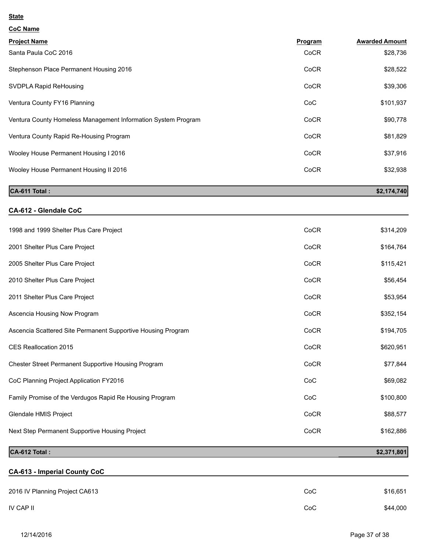| <b>CoC Name</b>                                               |         |                       |
|---------------------------------------------------------------|---------|-----------------------|
| <b>Project Name</b>                                           | Program | <b>Awarded Amount</b> |
| Santa Paula CoC 2016                                          | CoCR    | \$28,736              |
| Stephenson Place Permanent Housing 2016                       | CoCR    | \$28,522              |
| SVDPLA Rapid ReHousing                                        | CoCR    | \$39,306              |
| Ventura County FY16 Planning                                  | CoC     | \$101,937             |
| Ventura County Homeless Management Information System Program | CoCR    | \$90,778              |
| Ventura County Rapid Re-Housing Program                       | CoCR    | \$81,829              |
| Wooley House Permanent Housing I 2016                         | CoCR    | \$37,916              |
| Wooley House Permanent Housing II 2016                        | CoCR    | \$32,938              |

# **CA-611 Total :** \$2,174,740

# **CA-612 - Glendale CoC**

| 1998 and 1999 Shelter Plus Care Project                      | CoCR | \$314,209 |
|--------------------------------------------------------------|------|-----------|
| 2001 Shelter Plus Care Project                               | CoCR | \$164,764 |
| 2005 Shelter Plus Care Project                               | CoCR | \$115,421 |
| 2010 Shelter Plus Care Project                               | CoCR | \$56,454  |
| 2011 Shelter Plus Care Project                               | CoCR | \$53,954  |
| Ascencia Housing Now Program                                 | CoCR | \$352,154 |
| Ascencia Scattered Site Permanent Supportive Housing Program | CoCR | \$194,705 |
| CES Reallocation 2015                                        | CoCR | \$620,951 |
| Chester Street Permanent Supportive Housing Program          | CoCR | \$77,844  |
| CoC Planning Project Application FY2016                      | CoC  | \$69,082  |
| Family Promise of the Verdugos Rapid Re Housing Program      | CoC  | \$100,800 |
| Glendale HMIS Project                                        | CoCR | \$88,577  |
| Next Step Permanent Supportive Housing Project               | CoCR | \$162,886 |

# **CA-612 Total : \$2,371,801**

| <b>CA-613 - Imperial County CoC</b> |     |          |
|-------------------------------------|-----|----------|
|                                     |     |          |
| 2016 IV Planning Project CA613      | CoC | \$16,651 |
| IV CAP II                           | CoC | \$44,000 |